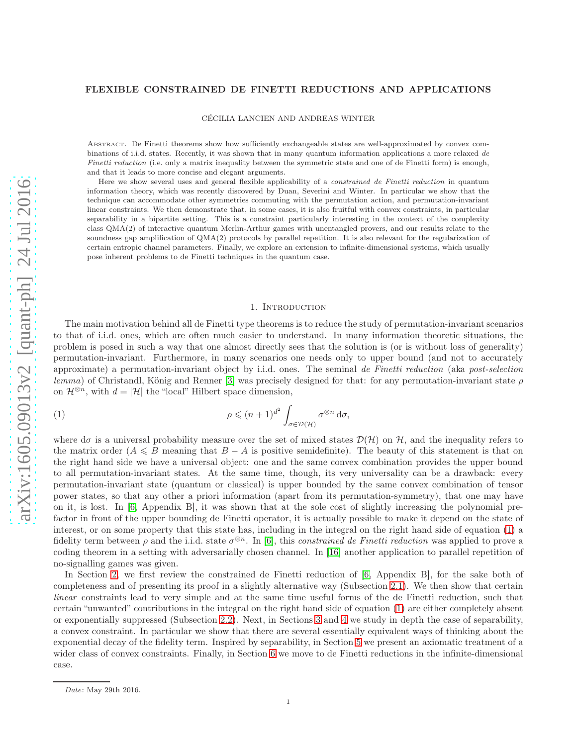## FLEXIBLE CONSTRAINED DE FINETTI REDUCTIONS AND APPLICATIONS

CÉCILIA LANCIEN AND ANDREAS WINTER

Abstract. De Finetti theorems show how sufficiently exchangeable states are well-approximated by convex combinations of i.i.d. states. Recently, it was shown that in many quantum information applications a more relaxed de Finetti reduction (i.e. only a matrix inequality between the symmetric state and one of de Finetti form) is enough, and that it leads to more concise and elegant arguments.

Here we show several uses and general flexible applicability of a constrained de Finetti reduction in quantum information theory, which was recently discovered by Duan, Severini and Winter. In particular we show that the technique can accommodate other symmetries commuting with the permutation action, and permutation-invariant linear constraints. We then demonstrate that, in some cases, it is also fruitful with convex constraints, in particular separability in a bipartite setting. This is a constraint particularly interesting in the context of the complexity class QMA(2) of interactive quantum Merlin-Arthur games with unentangled provers, and our results relate to the soundness gap amplification of QMA(2) protocols by parallel repetition. It is also relevant for the regularization of certain entropic channel parameters. Finally, we explore an extension to infinite-dimensional systems, which usually pose inherent problems to de Finetti techniques in the quantum case.

#### <span id="page-0-0"></span>1. INTRODUCTION

The main motivation behind all de Finetti type theorems is to reduce the study of permutation-invariant scenarios to that of i.i.d. ones, which are often much easier to understand. In many information theoretic situations, the problem is posed in such a way that one almost directly sees that the solution is (or is without loss of generality) permutation-invariant. Furthermore, in many scenarios one needs only to upper bound (and not to accurately approximate) a permutation-invariant object by i.i.d. ones. The seminal *de Finetti reduction* (aka *post-selection lemma*) of Christandl, König and Renner [\[3\]](#page-18-0) was precisely designed for that: for any permutation-invariant state  $\rho$ on  $\mathcal{H}^{\otimes n}$ , with  $d = |\mathcal{H}|$  the "local" Hilbert space dimension,

(1) 
$$
\rho \leqslant (n+1)^{d^2} \int_{\sigma \in \mathcal{D}(\mathcal{H})} \sigma^{\otimes n} d\sigma,
$$

where  $d\sigma$  is a universal probability measure over the set of mixed states  $\mathcal{D}(\mathcal{H})$  on  $\mathcal{H}$ , and the inequality refers to the matrix order  $(A \leq B$  meaning that  $B - A$  is positive semidefinite). The beauty of this statement is that on the right hand side we have a universal object: one and the same convex combination provides the upper bound to all permutation-invariant states. At the same time, though, its very universality can be a drawback: every permutation-invariant state (quantum or classical) is upper bounded by the same convex combination of tensor power states, so that any other a priori information (apart from its permutation-symmetry), that one may have on it, is lost. In [\[6,](#page-18-1) Appendix B], it was shown that at the sole cost of slightly increasing the polynomial prefactor in front of the upper bounding de Finetti operator, it is actually possible to make it depend on the state of interest, or on some property that this state has, including in the integral on the right hand side of equation [\(1\)](#page-0-0) a fidelity term between  $\rho$  and the i.i.d. state  $\sigma^{\otimes n}$ . In [\[6\]](#page-18-1), this *constrained de Finetti reduction* was applied to prove a coding theorem in a setting with adversarially chosen channel. In [\[16\]](#page-18-2) another application to parallel repetition of no-signalling games was given.

In Section [2,](#page-1-0) we first review the constrained de Finetti reduction of [\[6,](#page-18-1) Appendix B], for the sake both of completeness and of presenting its proof in a slightly alternative way (Subsection [2.1\)](#page-1-1). We then show that certain *linear* constraints lead to very simple and at the same time useful forms of the de Finetti reduction, such that certain "unwanted" contributions in the integral on the right hand side of equation [\(1\)](#page-0-0) are either completely absent or exponentially suppressed (Subsection [2.2\)](#page-2-0). Next, in Sections [3](#page-4-0) and [4](#page-8-0) we study in depth the case of separability, a convex constraint. In particular we show that there are several essentially equivalent ways of thinking about the exponential decay of the fidelity term. Inspired by separability, in Section [5](#page-13-0) we present an axiomatic treatment of a wider class of convex constraints. Finally, in Section [6](#page-15-0) we move to de Finetti reductions in the infinite-dimensional case.

Date: May 29th 2016.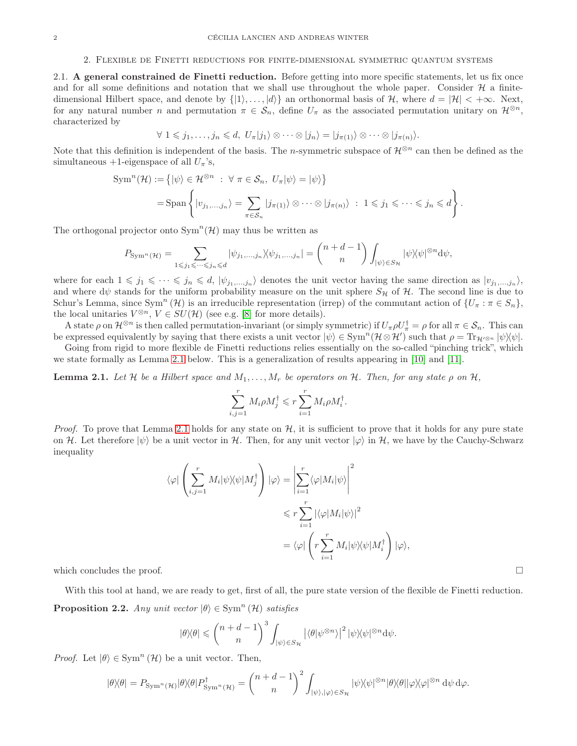#### 2. Flexible de Finetti reductions for finite-dimensional symmetric quantum systems

<span id="page-1-1"></span><span id="page-1-0"></span>2.1. A general constrained de Finetti reduction. Before getting into more specific statements, let us fix once and for all some definitions and notation that we shall use throughout the whole paper. Consider  $\mathcal H$  a finitedimensional Hilbert space, and denote by  $\{|1\rangle, \ldots, |d\rangle\}$  an orthonormal basis of H, where  $d = |\mathcal{H}| < +\infty$ . Next, for any natural number n and permutation  $\pi \in \mathcal{S}_n$ , define  $U_{\pi}$  as the associated permutation unitary on  $\mathcal{H}^{\otimes n}$ , characterized by

$$
\forall 1 \leq j_1, \ldots, j_n \leq d, \ U_{\pi}|j_1\rangle \otimes \cdots \otimes |j_n\rangle = |j_{\pi(1)}\rangle \otimes \cdots \otimes |j_{\pi(n)}\rangle.
$$

Note that this definition is independent of the basis. The n-symmetric subspace of  $\mathcal{H}^{\otimes n}$  can then be defined as the simultaneous +1-eigenspace of all  $U_{\pi}$ 's,

$$
\text{Sym}^n(\mathcal{H}) := \{ |\psi\rangle \in \mathcal{H}^{\otimes n} : \ \forall \ \pi \in \mathcal{S}_n, \ U_\pi |\psi\rangle = |\psi\rangle \}
$$
\n
$$
= \text{Span}\left\{ |v_{j_1,\dots,j_n}\rangle = \sum_{\pi \in \mathcal{S}_n} |j_{\pi(1)}\rangle \otimes \dots \otimes |j_{\pi(n)}\rangle : 1 \leq j_1 \leq \dots \leq j_n \leq d \right\}.
$$

The orthogonal projector onto  $\text{Sym}^n(\mathcal{H})$  may thus be written as

$$
P_{\mathrm{Sym}^n(\mathcal{H})} = \sum_{1\leqslant j_1\leqslant \cdots \leqslant j_n\leqslant d} |\psi_{j_1,...,j_n}\rangle \langle \psi_{j_1,...,j_n}| = \binom{n+d-1}{n}\int_{|\psi\rangle \in S_{\mathcal{H}}} |\psi \rangle\!\langle \psi|^{\otimes n} \mathrm{d} \psi,
$$

where for each  $1 \leq j_1 \leq \cdots \leq j_n \leq d$ ,  $|\psi_{j_1,...,j_n}\rangle$  denotes the unit vector having the same direction as  $|v_{j_1,...,j_n}\rangle$ , and where  $d\psi$  stands for the uniform probability measure on the unit sphere  $S_H$  of H. The second line is due to Schur's Lemma, since  $Sym^n(\mathcal{H})$  is an irreducible representation (irrep) of the commutant action of  $\{U_\pi : \pi \in S_n\}$ , the local unitaries  $V^{\otimes n}$ ,  $V \in SU(H)$  (see e.g. [\[8\]](#page-18-3) for more details).

A state  $\rho$  on  $\mathcal{H}^{\otimes n}$  is then called permutation-invariant (or simply symmetric) if  $U_{\pi}\rho U_{\pi}^{\dagger} = \rho$  for all  $\pi \in \mathcal{S}_n$ . This can be expressed equivalently by saying that there exists a unit vector  $|\psi\rangle \in \text{Sym}^n(\mathcal{H}\otimes\mathcal{H}')$  such that  $\rho = \text{Tr}_{\mathcal{H}'^{\otimes n}} |\psi\rangle\langle\psi|$ .

Going from rigid to more flexible de Finetti reductions relies essentially on the so-called "pinching trick", which we state formally as Lemma [2.1](#page-1-2) below. This is a generalization of results appearing in [\[10\]](#page-18-4) and [\[11\]](#page-18-5).

<span id="page-1-2"></span>**Lemma 2.1.** Let H be a Hilbert space and  $M_1, \ldots, M_r$  be operators on H. Then, for any state  $\rho$  on H.

$$
\sum_{i,j=1}^r M_i \rho M_j^{\dagger} \leqslant r \sum_{i=1}^r M_i \rho M_i^{\dagger}.
$$

*Proof.* To prove that Lemma [2.1](#page-1-2) holds for any state on  $H$ , it is sufficient to prove that it holds for any pure state on H. Let therefore  $|\psi\rangle$  be a unit vector in H. Then, for any unit vector  $|\varphi\rangle$  in H, we have by the Cauchy-Schwarz inequality

$$
\langle \varphi | \left( \sum_{i,j=1}^r M_i | \psi \rangle \langle \psi | M_j^{\dagger} \right) | \varphi \rangle = \left| \sum_{i=1}^r \langle \varphi | M_i | \psi \rangle \right|^2
$$
  

$$
\leqslant r \sum_{i=1}^r |\langle \varphi | M_i | \psi \rangle|^2
$$
  

$$
= \langle \varphi | \left( r \sum_{i=1}^r M_i | \psi \rangle \langle \psi | M_i^{\dagger} \right) | \varphi \rangle,
$$

which concludes the proof.  $\Box$ 

<span id="page-1-3"></span>With this tool at hand, we are ready to get, first of all, the pure state version of the flexible de Finetti reduction. **Proposition 2.2.** *Any unit vector*  $|\theta\rangle \in \text{Sym}^n(\mathcal{H})$  *satisfies* 

$$
|\theta\rangle\langle\theta|\leqslant\binom{n+d-1}{n}^3\int_{|\psi\rangle\in S_{\mathcal{H}}}|\langle\theta|\psi^{\otimes n}\rangle|^2\,|\psi\rangle\langle\psi|^{\otimes n}\mathrm{d}\psi.
$$

*Proof.* Let  $|\theta\rangle \in \text{Sym}^n(\mathcal{H})$  be a unit vector. Then,

$$
|\theta\rangle\langle\theta| = P_{\text{Sym}^n(\mathcal{H})}|\theta\rangle\langle\theta|P_{\text{Sym}^n(\mathcal{H})}^{\dagger} = {n+d-1 \choose n}^2 \int_{|\psi\rangle, |\varphi\rangle \in S_{\mathcal{H}}} |\psi\rangle\langle\psi|^{\otimes n} |\theta\rangle\langle\theta| |\varphi\rangle\langle\varphi|^{\otimes n} d\psi d\varphi.
$$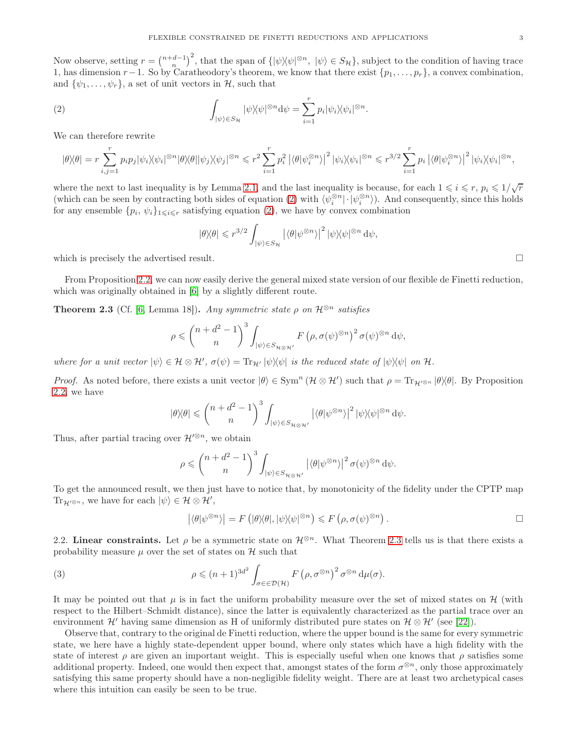Now observe, setting  $r = {n+d-1 \choose n}^2$ , that the span of  $\{ |\psi \rangle \langle \psi|^{\otimes n}, |\psi \rangle \in S_{\mathcal{H}} \}$ , subject to the condition of having trace 1, has dimension  $r-1$ . So by Caratheodory's theorem, we know that there exist  $\{p_1, \ldots, p_r\}$ , a convex combination, and  $\{\psi_1, \ldots, \psi_r\}$ , a set of unit vectors in  $\mathcal{H}$ , such that

(2) 
$$
\int_{|\psi\rangle \in S_{\mathcal{H}}} |\psi\rangle\langle\psi|^{\otimes n} d\psi = \sum_{i=1}^r p_i |\psi_i\rangle\langle\psi_i|^{\otimes n}.
$$

We can therefore rewrite

$$
|\theta\rangle\langle\theta| = r \sum_{i,j=1}^r p_i p_j |\psi_i\rangle\langle\psi_i|^{\otimes n} |\theta\rangle\langle\theta| |\psi_j\rangle\langle\psi_j|^{\otimes n} \leqslant r^2 \sum_{i=1}^r p_i^2 |\langle\theta|\psi_i^{\otimes n}\rangle|^2 |\psi_i\rangle\langle\psi_i|^{\otimes n} \leqslant r^{3/2} \sum_{i=1}^r p_i |\langle\theta|\psi_i^{\otimes n}\rangle|^2 |\psi_i\rangle\langle\psi_i|^{\otimes n},
$$

where the next to last inequality is by Lemma [2.1,](#page-1-2) and the last inequality is because, for each  $1 \leq i \leq r$ ,  $p_i \leq 1/\sqrt{r}$ (which can be seen by contracting both sides of equation [\(2\)](#page-2-1) with  $\langle \psi_i^{\otimes n} | \cdot | \psi_i^{\otimes n} \rangle$ ). And consequently, since this holds for any ensemble  $\{p_i, \psi_i\}_{1\leqslant i\leqslant r}$  satisfying equation [\(2\)](#page-2-1), we have by convex combination

<span id="page-2-1"></span>
$$
|\theta\rangle\langle\theta| \leq r^{3/2} \int_{|\psi\rangle \in S_{\mathcal{H}}} |\langle \theta | \psi^{\otimes n} \rangle|^2 |\psi\rangle\langle\psi|^{\otimes n} d\psi,
$$

which is precisely the advertised result.

From Proposition [2.2,](#page-1-3) we can now easily derive the general mixed state version of our flexible de Finetti reduction, which was originally obtained in [\[6\]](#page-18-1) by a slightly different route.

<span id="page-2-2"></span>**Theorem 2.3** (Cf. [\[6,](#page-18-1) Lemma 18]). *Any symmetric state*  $\rho$  *on*  $\mathcal{H}^{\otimes n}$  *satisfies* 

$$
\rho \leqslant {n+d^2-1 \choose n}^3 \int_{|\psi\rangle \in S_{\mathcal{H} \otimes \mathcal{H}'}} F(\rho, \sigma(\psi)^{\otimes n})^2 \sigma(\psi)^{\otimes n} d\psi,
$$

 $where for a unit vector  $|\psi\rangle \in \mathcal{H} \otimes \mathcal{H}'$ ,  $\sigma(\psi) = \text{Tr}_{\mathcal{H}'} |\psi\rangle \langle \psi|$  *is the reduced state of*  $|\psi\rangle \langle \psi|$  *on*  $\mathcal{H}$ *.*$ 

*Proof.* As noted before, there exists a unit vector  $|\theta\rangle \in \text{Sym}^n (\mathcal{H} \otimes \mathcal{H}')$  such that  $\rho = \text{Tr}_{\mathcal{H}'^{\otimes n}} |\theta\rangle\langle\theta|$ . By Proposition [2.2,](#page-1-3) we have

$$
|\theta\rangle\langle\theta|\leqslant\binom{n+d^2-1}{n}^3\int_{|\psi\rangle\in S_{\mathcal{H}\otimes\mathcal{H}'}}\left|\langle\theta|\psi^{\otimes n}\rangle\right|^2|\psi\rangle\langle\psi|^{\otimes n}\,\mathrm{d}\psi.
$$

Thus, after partial tracing over  $\mathcal{H}^{\prime\otimes n}$ , we obtain

$$
\rho \leqslant {\binom{n+d^2-1}{n}}^3 \int_{|\psi\rangle \in S_{\mathcal{H}\otimes\mathcal{H}'}} \left| \langle \theta | \psi^{\otimes n} \rangle \right|^2 \sigma(\psi)^{\otimes n} \, \mathrm{d}\psi.
$$

To get the announced result, we then just have to notice that, by monotonicity of the fidelity under the CPTP map  $\text{Tr}_{\mathcal{H}'^{\otimes n}}$ , we have for each  $|\psi\rangle \in \mathcal{H} \otimes \mathcal{H}'$ ,

<span id="page-2-3"></span>
$$
|\langle \theta | \psi^{\otimes n} \rangle| = F\left( |\theta \rangle \theta|, |\psi \rangle \langle \psi|^{\otimes n} \right) \leq F\left( \rho, \sigma(\psi)^{\otimes n} \right).
$$

<span id="page-2-0"></span>2.2. Linear constraints. Let  $\rho$  be a symmetric state on  $\mathcal{H}^{\otimes n}$ . What Theorem [2.3](#page-2-2) tells us is that there exists a probability measure  $\mu$  over the set of states on  $\mathcal{H}$  such that

(3) 
$$
\rho \leqslant (n+1)^{3d^2} \int_{\sigma \in \in \mathcal{D}(\mathcal{H})} F(\rho, \sigma^{\otimes n})^2 \sigma^{\otimes n} d\mu(\sigma).
$$

It may be pointed out that  $\mu$  is in fact the uniform probability measure over the set of mixed states on H (with respect to the Hilbert–Schmidt distance), since the latter is equivalently characterized as the partial trace over an environment  $\mathcal{H}'$  having same dimension as H of uniformly distributed pure states on  $\mathcal{H} \otimes \mathcal{H}'$  (see [\[22\]](#page-18-6)).

Observe that, contrary to the original de Finetti reduction, where the upper bound is the same for every symmetric state, we here have a highly state-dependent upper bound, where only states which have a high fidelity with the state of interest  $\rho$  are given an important weight. This is especially useful when one knows that  $\rho$  satisfies some additional property. Indeed, one would then expect that, amongst states of the form  $\sigma^{\otimes n}$ , only those approximately satisfying this same property should have a non-negligible fidelity weight. There are at least two archetypical cases where this intuition can easily be seen to be true.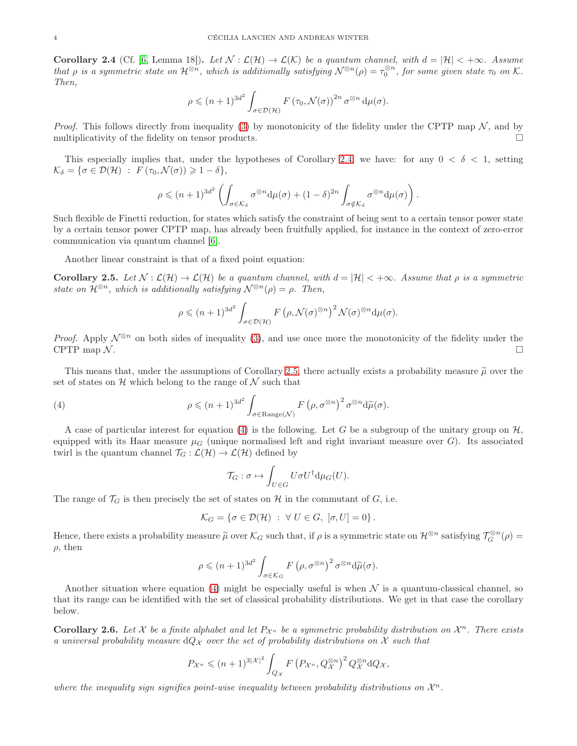<span id="page-3-0"></span>**Corollary 2.4** (Cf. [\[6,](#page-18-1) Lemma 18]). Let  $\mathcal{N} : \mathcal{L}(\mathcal{H}) \to \mathcal{L}(\mathcal{K})$  be a quantum channel, with  $d = |\mathcal{H}| < +\infty$ . Assume *that*  $\rho$  *is a symmetric state on*  $\mathcal{H}^{\otimes n}$ , which is additionally satisfying  $\mathcal{N}^{\otimes n}(\rho) = \tau_0^{\otimes n}$ , for some given state  $\tau_0$  on K. *Then,*

$$
\rho \leqslant (n+1)^{3d^2} \int_{\sigma \in \mathcal{D}(\mathcal{H})} F(\tau_0, \mathcal{N}(\sigma))^{2n} \sigma^{\otimes n} d\mu(\sigma).
$$

*Proof.* This follows directly from inequality [\(3\)](#page-2-3) by monotonicity of the fidelity under the CPTP map  $\mathcal{N}$ , and by multiplicativity of the fidelity on tensor products multiplicativity of the fidelity on tensor products.

This especially implies that, under the hypotheses of Corollary [2.4,](#page-3-0) we have: for any  $0 < \delta < 1$ , setting  $\mathcal{K}_{\delta} = {\sigma \in \mathcal{D}(\mathcal{H}) : F(\tau_0, \mathcal{N}(\sigma)) \geq 1 - \delta},$ 

$$
\rho \leqslant (n+1)^{3d^2} \left( \int_{\sigma \in \mathcal{K}_\delta} \sigma^{\otimes n} \mathrm{d} \mu(\sigma) + (1-\delta)^{2n} \int_{\sigma \notin \mathcal{K}_\delta} \sigma^{\otimes n} \mathrm{d} \mu(\sigma) \right).
$$

Such flexible de Finetti reduction, for states which satisfy the constraint of being sent to a certain tensor power state by a certain tensor power CPTP map, has already been fruitfully applied, for instance in the context of zero-error communication via quantum channel [\[6\]](#page-18-1).

Another linear constraint is that of a fixed point equation:

<span id="page-3-1"></span>Corollary 2.5. Let  $\mathcal{N} : \mathcal{L}(\mathcal{H}) \to \mathcal{L}(\mathcal{H})$  be a quantum channel, with  $d = |\mathcal{H}| < +\infty$ . Assume that  $\rho$  is a symmetric *state on*  $\mathcal{H}^{\otimes n}$ , which is additionally satisfying  $\mathcal{N}^{\otimes n}(\rho) = \rho$ . Then,

$$
\rho \leqslant (n+1)^{3d^2} \int_{\sigma \in \mathcal{D}(\mathcal{H})} F\left(\rho, \mathcal{N}(\sigma)^{\otimes n}\right)^2 \mathcal{N}(\sigma)^{\otimes n} \mathrm{d} \mu(\sigma).
$$

*Proof.* Apply  $\mathcal{N}^{\otimes n}$  on both sides of inequality [\(3\)](#page-2-3), and use once more the monotonicity of the fidelity under the CPTP map  $\mathcal{N}$ . CPTP map  $\mathcal N$ .

This means that, under the assumptions of Corollary [2.5,](#page-3-1) there actually exists a probability measure  $\tilde{\mu}$  over the set of states on  $\mathcal H$  which belong to the range of  $\mathcal N$  such that

(4) 
$$
\rho \leqslant (n+1)^{3d^2} \int_{\sigma \in \text{Range}(\mathcal{N})} F(\rho, \sigma^{\otimes n})^2 \sigma^{\otimes n} d\widetilde{\mu}(\sigma).
$$

A case of particular interest for equation [\(4\)](#page-3-2) is the following. Let G be a subgroup of the unitary group on  $\mathcal{H}$ , equipped with its Haar measure  $\mu_G$  (unique normalised left and right invariant measure over G). Its associated twirl is the quantum channel  $\mathcal{T}_G : \mathcal{L}(\mathcal{H}) \to \mathcal{L}(\mathcal{H})$  defined by

<span id="page-3-2"></span>
$$
\mathcal{T}_G : \sigma \mapsto \int_{U \in G} U \sigma U^{\dagger} d\mu_G(U).
$$

The range of  $\mathcal{T}_G$  is then precisely the set of states on H in the commutant of G, i.e.

$$
\mathcal{K}_G = \{ \sigma \in \mathcal{D}(\mathcal{H}) \; : \; \forall \; U \in G, \; [\sigma, U] = 0 \}.
$$

Hence, there exists a probability measure  $\tilde{\mu}$  over  $\mathcal{K}_G$  such that, if  $\rho$  is a symmetric state on  $\mathcal{H}^{\otimes n}$  satisfying  $\mathcal{T}_G^{\otimes n}(\rho)$  =  $\rho$ , then

$$
\rho \leqslant (n+1)^{3d^2} \int_{\sigma \in \mathcal{K}_G} F\left(\rho, \sigma^{\otimes n}\right)^2 \sigma^{\otimes n} \mathrm{d} \widetilde{\mu}(\sigma).
$$

Another situation where equation [\(4\)](#page-3-2) might be especially useful is when  $\mathcal N$  is a quantum-classical channel, so that its range can be identified with the set of classical probability distributions. We get in that case the corollary below.

**Corollary 2.6.** Let X be a finite alphabet and let  $P_{\mathcal{X}^n}$  be a symmetric probability distribution on  $\mathcal{X}^n$ . There exists *a universal probability measure*  $dQ_X$  *over the set of probability distributions on* X *such that* 

$$
P_{\mathcal{X}^n} \leqslant (n+1)^{3|\mathcal{X}|^2} \int_{Q_{\mathcal{X}}} F\left(P_{\mathcal{X}^n}, Q_{\mathcal{X}}^{\otimes n}\right)^2 Q_{\mathcal{X}}^{\otimes n} dQ_{\mathcal{X}},
$$

where the inequality sign signifies point-wise inequality between probability distributions on  $\mathcal{X}^n$ .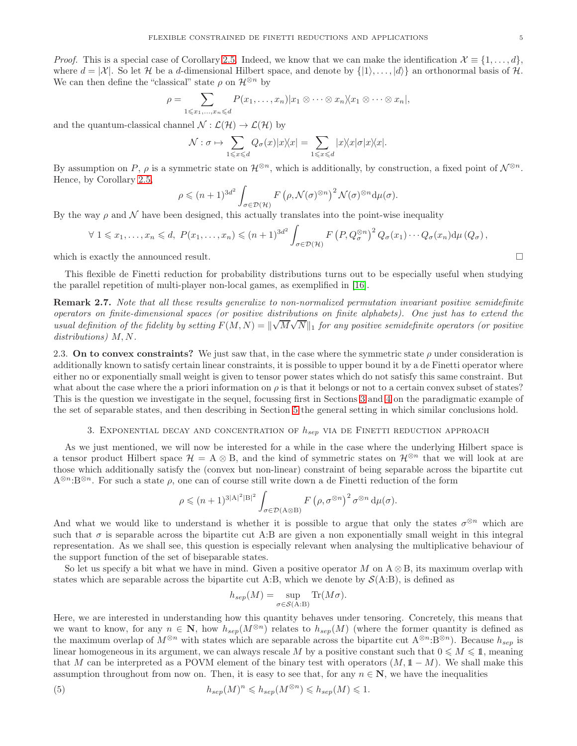*Proof.* This is a special case of Corollary [2.5.](#page-3-1) Indeed, we know that we can make the identification  $\mathcal{X} \equiv \{1, \ldots, d\}$ , where  $d = |\mathcal{X}|$ . So let H be a d-dimensional Hilbert space, and denote by  $\{1\}, \ldots, |d\rangle\}$  an orthonormal basis of H. We can then define the "classical" state  $\rho$  on  $\mathcal{H}^{\otimes n}$  by

$$
\rho = \sum_{1 \leq x_1, \dots, x_n \leq d} P(x_1, \dots, x_n) | x_1 \otimes \dots \otimes x_n \rangle \langle x_1 \otimes \dots \otimes x_n |,
$$

and the quantum-classical channel  $\mathcal{N} : \mathcal{L}(\mathcal{H}) \to \mathcal{L}(\mathcal{H})$  by

$$
\mathcal{N}: \sigma \mapsto \sum_{1 \leqslant x \leqslant d} Q_{\sigma}(x)|x\rangle\langle x| = \sum_{1 \leqslant x \leqslant d} |x\rangle\langle x|\sigma|x\rangle\langle x|.
$$

By assumption on P,  $\rho$  is a symmetric state on  $\mathcal{H}^{\otimes n}$ , which is additionally, by construction, a fixed point of  $\mathcal{N}^{\otimes n}$ . Hence, by Corollary [2.5,](#page-3-1)

$$
\rho \leqslant (n+1)^{3d^2} \int_{\sigma \in \mathcal{D}(\mathcal{H})} F\left(\rho, \mathcal{N}(\sigma)^{\otimes n}\right)^2 \mathcal{N}(\sigma)^{\otimes n} d\mu(\sigma).
$$

By the way  $\rho$  and  $\mathcal N$  have been designed, this actually translates into the point-wise inequality

$$
\forall 1 \leq x_1, \ldots, x_n \leq d, \ P(x_1, \ldots, x_n) \leq (n+1)^{3d^2} \int_{\sigma \in \mathcal{D}(\mathcal{H})} F\left(P, Q_{\sigma}^{\otimes n}\right)^2 Q_{\sigma}(x_1) \cdots Q_{\sigma}(x_n) d\mu(Q_{\sigma}),
$$

which is exactly the announced result.  $\Box$ 

This flexible de Finetti reduction for probability distributions turns out to be especially useful when studying the parallel repetition of multi-player non-local games, as exemplified in [\[16\]](#page-18-2).

Remark 2.7. *Note that all these results generalize to non-normalized permutation invariant positive semidefinite operators on finite-dimensional spaces (or positive distributions on finite alphabets). One just has to extend the usual definition of the fidelity by setting*  $F(M, N) = ||\sqrt{M}\sqrt{N}||_1$  *for any positive semidefinite operators (or positive*) *distributions)* M, N*.*

2.3. On to convex constraints? We just saw that, in the case where the symmetric state  $\rho$  under consideration is additionally known to satisfy certain linear constraints, it is possible to upper bound it by a de Finetti operator where either no or exponentially small weight is given to tensor power states which do not satisfy this same constraint. But what about the case where the a priori information on  $\rho$  is that it belongs or not to a certain convex subset of states? This is the question we investigate in the sequel, focussing first in Sections [3](#page-4-0) and [4](#page-8-0) on the paradigmatic example of the set of separable states, and then describing in Section [5](#page-13-0) the general setting in which similar conclusions hold.

# 3. EXPONENTIAL DECAY AND CONCENTRATION OF  $h_{sep}$  via de Finetti reduction approach

<span id="page-4-0"></span>As we just mentioned, we will now be interested for a while in the case where the underlying Hilbert space is a tensor product Hilbert space  $\mathcal{H} = A \otimes B$ , and the kind of symmetric states on  $\mathcal{H}^{\otimes n}$  that we will look at are those which additionally satisfy the (convex but non-linear) constraint of being separable across the bipartite cut  $A^{\otimes n}:B^{\otimes n}$ . For such a state  $\rho$ , one can of course still write down a de Finetti reduction of the form

$$
\rho \leqslant (n+1)^{3|{\cal A}|^2|{\cal B}|^2} \int_{\sigma \in {\cal D}({\cal A} \otimes {\cal B})} F\left(\rho, \sigma^{\otimes n}\right)^2 \sigma^{\otimes n} \, {\rm d} \mu(\sigma).
$$

And what we would like to understand is whether it is possible to argue that only the states  $\sigma^{\otimes n}$  which are such that  $\sigma$  is separable across the bipartite cut A:B are given a non exponentially small weight in this integral representation. As we shall see, this question is especially relevant when analysing the multiplicative behaviour of the support function of the set of biseparable states.

So let us specify a bit what we have in mind. Given a positive operator M on  $A \otimes B$ , its maximum overlap with states which are separable across the bipartite cut A:B, which we denote by  $\mathcal{S}(A:B)$ , is defined as

<span id="page-4-1"></span>
$$
h_{sep}(M) = \sup_{\sigma \in \mathcal{S}(\mathbf{A}:\mathbf{B})} \text{Tr}(M\sigma).
$$

Here, we are interested in understanding how this quantity behaves under tensoring. Concretely, this means that we want to know, for any  $n \in \mathbb{N}$ , how  $h_{sep}(M^{\otimes n})$  relates to  $h_{sep}(M)$  (where the former quantity is defined as the maximum overlap of  $M^{\otimes n}$  with states which are separable across the bipartite cut  $A^{\otimes n}:B^{\otimes n}$ . Because  $h_{sep}$  is linear homogeneous in its argument, we can always rescale M by a positive constant such that  $0 \leq M \leq 1$ , meaning that M can be interpreted as a POVM element of the binary test with operators  $(M, 1 - M)$ . We shall make this assumption throughout from now on. Then, it is easy to see that, for any  $n \in \mathbb{N}$ , we have the inequalities

(5) 
$$
h_{sep}(M)^n \leqslant h_{sep}(M^{\otimes n}) \leqslant h_{sep}(M) \leqslant 1.
$$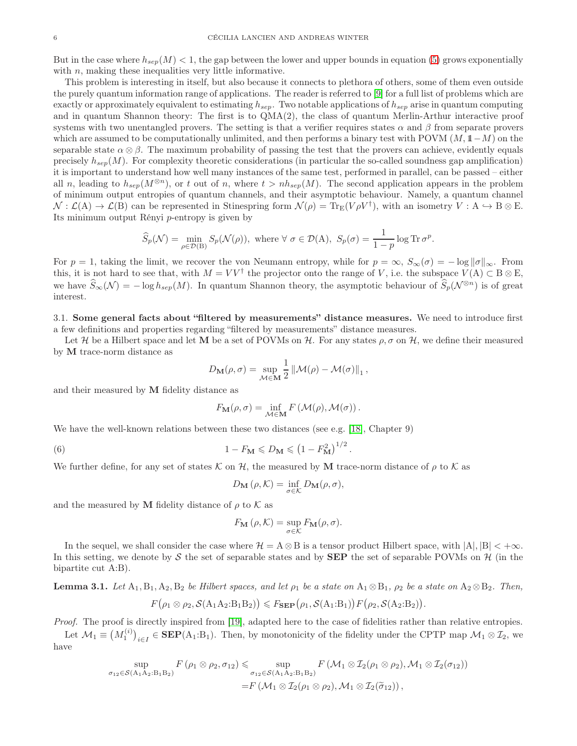But in the case where  $h_{sep}(M) < 1$ , the gap between the lower and upper bounds in equation [\(5\)](#page-4-1) grows exponentially with  $n$ , making these inequalities very little informative.

This problem is interesting in itself, but also because it connects to plethora of others, some of them even outside the purely quantum information range of applications. The reader is referred to [\[9\]](#page-18-7) for a full list of problems which are exactly or approximately equivalent to estimating  $h_{sep}$ . Two notable applications of  $h_{sep}$  arise in quantum computing and in quantum Shannon theory: The first is to QMA(2), the class of quantum Merlin-Arthur interactive proof systems with two unentangled provers. The setting is that a verifier requires states  $\alpha$  and  $\beta$  from separate provers which are assumed to be computationally unlimited, and then performs a binary test with POVM  $(M, 1-M)$  on the separable state  $\alpha \otimes \beta$ . The maximum probability of passing the test that the provers can achieve, evidently equals precisely  $h_{sep}(M)$ . For complexity theoretic considerations (in particular the so-called soundness gap amplification) it is important to understand how well many instances of the same test, performed in parallel, can be passed – either all n, leading to  $h_{sep}(M^{\otimes n})$ , or t out of n, where  $t > nh_{sep}(M)$ . The second application appears in the problem of minimum output entropies of quantum channels, and their asymptotic behaviour. Namely, a quantum channel  $\mathcal{N} : \mathcal{L}(A) \to \mathcal{L}(B)$  can be represented in Stinespring form  $\mathcal{N}(\rho) = \text{Tr}_{E}(V\rho V^{\dagger})$ , with an isometry  $V : A \hookrightarrow B \otimes E$ . Its minimum output Rényi p-entropy is given by

$$
\widehat{S}_p(\mathcal{N}) = \min_{\rho \in \mathcal{D}(\mathcal{B})} S_p(\mathcal{N}(\rho)), \text{ where } \forall \sigma \in \mathcal{D}(\mathcal{A}), \ S_p(\sigma) = \frac{1}{1-p} \log \operatorname{Tr} \sigma^p.
$$

For  $p = 1$ , taking the limit, we recover the von Neumann entropy, while for  $p = \infty$ ,  $S_{\infty}(\sigma) = -\log ||\sigma||_{\infty}$ . From this, it is not hard to see that, with  $M = V V^{\dagger}$  the projector onto the range of V, i.e. the subspace  $V(A) \subset B \otimes E$ , we have  $\widehat{S}_{\infty}(\mathcal{N}) = -\log h_{sen}(M)$ . In quantum Shannon theory, the asymptotic behaviour of  $\widehat{S}_{n}(\mathcal{N}^{\otimes n})$  is of great interest.

3.1. Some general facts about "filtered by measurements" distance measures. We need to introduce first a few definitions and properties regarding "filtered by measurements" distance measures.

Let H be a Hilbert space and let M be a set of POVMs on H. For any states  $\rho$ ,  $\sigma$  on H, we define their measured by M trace-norm distance as

$$
D_{\mathbf{M}}(\rho, \sigma) = \sup_{\mathcal{M} \in \mathbf{M}} \frac{1}{2} \left\| \mathcal{M}(\rho) - \mathcal{M}(\sigma) \right\|_{1},
$$

and their measured by M fidelity distance as

$$
F_{\mathbf{M}}(\rho, \sigma) = \inf_{\mathcal{M} \in \mathbf{M}} F(\mathcal{M}(\rho), \mathcal{M}(\sigma)).
$$

We have the well-known relations between these two distances (see e.g. [\[18\]](#page-18-8), Chapter 9)

(6) 
$$
1 - F_{\mathbf{M}} \leqslant D_{\mathbf{M}} \leqslant \left(1 - F_{\mathbf{M}}^2\right)^{1/2}
$$

We further define, for any set of states K on H, the measured by M trace-norm distance of  $\rho$  to K as

<span id="page-5-1"></span>
$$
D_{\mathbf{M}}(\rho, \mathcal{K}) = \inf_{\sigma \in \mathcal{K}} D_{\mathbf{M}}(\rho, \sigma),
$$

.

.

and the measured by M fidelity distance of  $\rho$  to K as

$$
F_{\mathbf{M}}(\rho, \mathcal{K}) = \sup_{\sigma \in \mathcal{K}} F_{\mathbf{M}}(\rho, \sigma).
$$

In the sequel, we shall consider the case where  $\mathcal{H} = A \otimes B$  is a tensor product Hilbert space, with  $|A|, |B| < +\infty$ . In this setting, we denote by S the set of separable states and by **SEP** the set of separable POVMs on  $\mathcal{H}$  (in the bipartite cut A:B).

<span id="page-5-0"></span>**Lemma 3.1.** *Let*  $A_1, B_1, A_2, B_2$  *be Hilbert spaces, and let*  $\rho_1$  *be a state on*  $A_1 \otimes B_1$ *,*  $\rho_2$  *be a state on*  $A_2 \otimes B_2$ *. Then,* 

$$
F(\rho_1 \otimes \rho_2, \mathcal{S}(A_1 A_2:B_1 B_2)) \leq F_{\text{SEP}}(\rho_1, \mathcal{S}(A_1:B_1)) F(\rho_2, \mathcal{S}(A_2:B_2))
$$

*Proof.* The proof is directly inspired from [\[19\]](#page-18-9), adapted here to the case of fidelities rather than relative entropies. Let  $\mathcal{M}_1 \equiv (M_1^{(i)})_{i \in I} \in \mathbf{SEP}(A_1:B_1)$ . Then, by monotonicity of the fidelity under the CPTP map  $\mathcal{M}_1 \otimes \mathcal{I}_2$ , we

have

$$
\sup_{\sigma_{12}\in\mathcal{S}(\mathbf{A}_1\mathbf{A}_2:\mathbf{B}_1\mathbf{B}_2)}F(\rho_1\otimes\rho_2,\sigma_{12})\leq \sup_{\sigma_{12}\in\mathcal{S}(\mathbf{A}_1\mathbf{A}_2:\mathbf{B}_1\mathbf{B}_2)}F(\mathcal{M}_1\otimes\mathcal{I}_2(\rho_1\otimes\rho_2),\mathcal{M}_1\otimes\mathcal{I}_2(\sigma_{12}))
$$
  
= $F(\mathcal{M}_1\otimes\mathcal{I}_2(\rho_1\otimes\rho_2),\mathcal{M}_1\otimes\mathcal{I}_2(\tilde{\sigma}_{12}))$ ,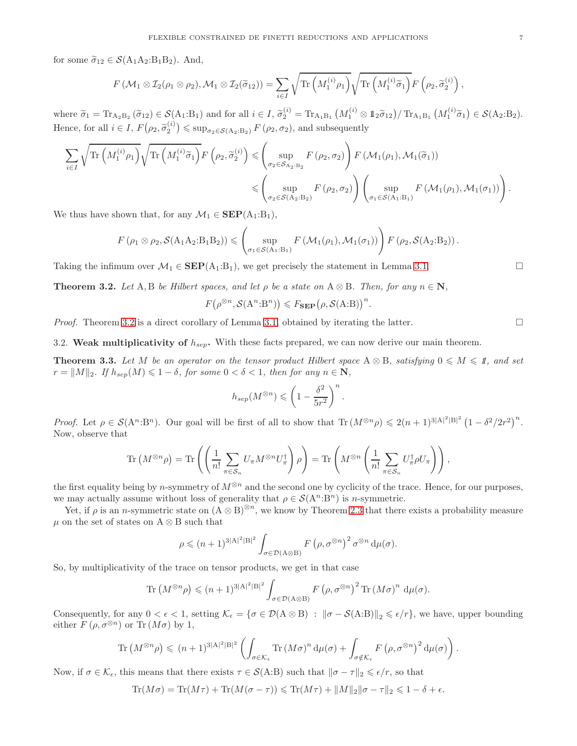for some  $\widetilde{\sigma}_{12} \in \mathcal{S}(A_1A_2:B_1B_2)$ . And,

$$
F(M_1 \otimes \mathcal{I}_2(\rho_1 \otimes \rho_2), \mathcal{M}_1 \otimes \mathcal{I}_2(\widetilde{\sigma}_{12})) = \sum_{i \in I} \sqrt{\text{Tr}\left(M_1^{(i)}\rho_1\right)} \sqrt{\text{Tr}\left(M_1^{(i)}\widetilde{\sigma}_1\right)} F\left(\rho_2, \widetilde{\sigma}_2^{(i)}\right),
$$

where  $\widetilde{\sigma}_1 = \text{Tr}_{A_2B_2}(\widetilde{\sigma}_{12}) \in \mathcal{S}(A_1:B_1)$  and for all  $i \in I$ ,  $\widetilde{\sigma}_2^{(i)} = \text{Tr}_{A_1B_1}(M_1^{(i)} \otimes \mathbb{1}_2 \widetilde{\sigma}_{12}) / \text{Tr}_{A_1B_1}(M_1^{(i)} \widetilde{\sigma}_1) \in \mathcal{S}(A_2:B_2)$ . Hence, for all  $i \in I$ ,  $F(\rho_2, \tilde{\sigma}_2^{(i)}) \leq \sup_{\sigma_2 \in \mathcal{S}(A_2:B_2)} F(\rho_2, \sigma_2)$ , and subsequently

$$
\begin{split} \sum_{i \in I} \sqrt{\text{Tr}\left(M_1^{(i)} \rho_1\right)} \sqrt{\text{Tr}\left(M_1^{(i)} \tilde{\sigma}_1\right)} F\left(\rho_2, \tilde{\sigma}_2^{(i)}\right) &\leqslant \left(\sup_{\sigma_2 \in \mathcal{S}_{\text{A}_2:\text{B}_2}} F\left(\rho_2, \sigma_2\right)\right) F\left(\mathcal{M}_1(\rho_1), \mathcal{M}_1(\tilde{\sigma}_1)\right) \\ &\leqslant \left(\sup_{\sigma_2 \in \mathcal{S}(\text{A}_2:\text{B}_2)} F\left(\rho_2, \sigma_2\right)\right) \left(\sup_{\sigma_1 \in \mathcal{S}(\text{A}_1:\text{B}_1)} F\left(\mathcal{M}_1(\rho_1), \mathcal{M}_1(\sigma_1)\right)\right). \end{split}
$$

We thus have shown that, for any  $\mathcal{M}_1 \in \mathbf{SEP}(A_1:B_1)$ ,

$$
F(\rho_1 \otimes \rho_2, \mathcal{S}(A_1 A_2:B_1 B_2)) \leq \left(\sup_{\sigma_1 \in \mathcal{S}(A_1:B_1)} F(\mathcal{M}_1(\rho_1), \mathcal{M}_1(\sigma_1))\right) F(\rho_2, \mathcal{S}(A_2:B_2)).
$$

Taking the infimum over  $\mathcal{M}_1 \in \text{SEP}(A_1:B_1)$ , we get precisely the statement in Lemma [3.1.](#page-5-0)

<span id="page-6-0"></span>**Theorem 3.2.** Let  $A, B$  be Hilbert spaces, and let  $\rho$  be a state on  $A \otimes B$ . Then, for any  $n \in \mathbb{N}$ ,

 $F(\rho^{\otimes n}, \mathcal{S}(A^n:B^n)) \leq F_{\text{SEP}}(\rho, \mathcal{S}(A:B))^n.$ 

*Proof.* Theorem [3.2](#page-6-0) is a direct corollary of Lemma [3.1,](#page-5-0) obtained by iterating the latter.

3.2. Weak multiplicativity of  $h_{sep}$ . With these facts prepared, we can now derive our main theorem.

<span id="page-6-1"></span>**Theorem 3.3.** Let M be an operator on the tensor product Hilbert space  $A \otimes B$ , satisfying  $0 \leq M \leq 1$ , and set  $r = ||M||_2$ *. If*  $h_{sep}(M) \leq 1 - \delta$ *, for some*  $0 < \delta < 1$ *, then for any*  $n \in \mathbb{N}$ *,* 

$$
h_{sep}(M^{\otimes n}) \leqslant \left(1 - \frac{\delta^2}{5r^2}\right)^n.
$$

*Proof.* Let  $\rho \in \mathcal{S}(A^n:B^n)$ . Our goal will be first of all to show that  $\text{Tr}(M^{\otimes n}\rho) \leqslant 2(n+1)^{3|A|^2|B|^2} (1-\delta^2/2r^2)^n$ . Now, observe that

$$
\operatorname{Tr}\left(M^{\otimes n}\rho\right) = \operatorname{Tr}\left(\left(\frac{1}{n!}\sum_{\pi\in\mathcal{S}_n}U_{\pi}M^{\otimes n}U_{\pi}^{\dagger}\right)\rho\right) = \operatorname{Tr}\left(M^{\otimes n}\left(\frac{1}{n!}\sum_{\pi\in\mathcal{S}_n}U_{\pi}^{\dagger}\rho U_{\pi}\right)\right),
$$

the first equality being by n-symmetry of  $M^{\otimes n}$  and the second one by cyclicity of the trace. Hence, for our purposes, we may actually assume without loss of generality that  $\rho \in \mathcal{S}(A^n:B^n)$  is *n*-symmetric.

Yet, if  $\rho$  is an n-symmetric state on  $(A \otimes B)^{\otimes n}$ , we know by Theorem [2.3](#page-2-2) that there exists a probability measure  $\mu$  on the set of states on A ⊗ B such that

$$
\rho \leqslant (n+1)^{3|A|^2|B|^2} \int_{\sigma \in \mathcal{D}(\mathbf{A} \otimes \mathbf{B})} F(\rho, \sigma^{\otimes n})^2 \sigma^{\otimes n} d\mu(\sigma).
$$

So, by multiplicativity of the trace on tensor products, we get in that case

$$
\text{Tr}\left(M^{\otimes n}\rho\right) \leqslant (n+1)^{3|A|^2|B|^2} \int_{\sigma \in \mathcal{D}(A\otimes B)} F\left(\rho, \sigma^{\otimes n}\right)^2 \text{Tr}\left(M\sigma\right)^n \, \mathrm{d}\mu(\sigma).
$$

Consequently, for any  $0 < \epsilon < 1$ , setting  $\mathcal{K}_{\epsilon} = \{ \sigma \in \mathcal{D}(\mathbf{A} \otimes \mathbf{B}) : ||\sigma - \mathcal{S}(\mathbf{A} \otimes \mathbf{B})||_2 \leq \epsilon/r \}$ , we have, upper bounding either  $F(\rho, \sigma^{\otimes n})$  or Tr $(M\sigma)$  by 1,

$$
\mathrm{Tr}\left(M^{\otimes n}\rho\right) \leqslant (n+1)^{3|{\mathcal A}|^2|{\mathcal B}|^2}\left(\int_{\sigma\in\mathcal K_\epsilon}\mathrm{Tr}\left(M\sigma\right)^n\mathrm{d}\mu(\sigma)+\int_{\sigma\notin\mathcal K_\epsilon}F\left(\rho,\sigma^{\otimes n}\right)^2\mathrm{d}\mu(\sigma)\right).
$$

Now, if  $\sigma \in \mathcal{K}_{\epsilon}$ , this means that there exists  $\tau \in \mathcal{S}(A:B)$  such that  $\|\sigma - \tau\|_2 \leq \epsilon/r$ , so that

$$
\text{Tr}(M\sigma)=\text{Tr}(M\tau)+\text{Tr}(M(\sigma-\tau))\leqslant\text{Tr}(M\tau)+\|M\|_2\|\sigma-\tau\|_2\leqslant 1-\delta+\epsilon.
$$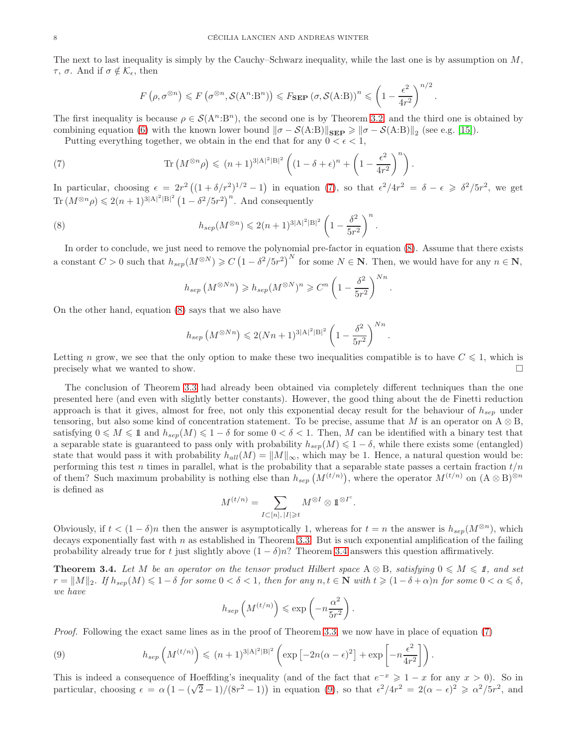The next to last inequality is simply by the Cauchy–Schwarz inequality, while the last one is by assumption on  $M$ ,  $τ, σ. And if σ ∉ K<sub>ε</sub>, then$ 

<span id="page-7-0"></span>
$$
F\left(\rho, \sigma^{\otimes n}\right) \leqslant F\left(\sigma^{\otimes n}, \mathcal{S}(A^n:B^n)\right) \leqslant F_{\textbf{SEP}}\left(\sigma, \mathcal{S}(A:B)\right)^n \leqslant \left(1 - \frac{\epsilon^2}{4r^2}\right)^{n/2}.
$$

The first inequality is because  $\rho \in \mathcal{S}(A^n:B^n)$ , the second one is by Theorem [3.2,](#page-6-0) and the third one is obtained by combining equation [\(6\)](#page-5-1) with the known lower bound  $\|\sigma - \mathcal{S}(A:B)\|_{\textbf{SEP}} \geq \|\sigma - \mathcal{S}(A:B)\|_2$  (see e.g. [\[15\]](#page-18-10)).

Putting everything together, we obtain in the end that for any  $0 < \epsilon < 1$ ,

(7) 
$$
\operatorname{Tr}\left(M^{\otimes n}\rho\right) \leqslant (n+1)^{3|A|^2|B|^2} \left((1-\delta+\epsilon)^n + \left(1-\frac{\epsilon^2}{4r^2}\right)^n\right).
$$

In particular, choosing  $\epsilon = 2r^2((1+\delta/r^2)^{1/2}-1)$  in equation [\(7\)](#page-7-0), so that  $\epsilon^2/4r^2 = \delta - \epsilon \geq \delta^2/5r^2$ , we get Tr  $(M^{\otimes n}\rho) \leqslant 2(n+1)^{3|A|^2|B|^2} (1-\delta^2/5r^2)^n$ . And consequently

(8) 
$$
h_{sep}(M^{\otimes n}) \leq 2(n+1)^{3|A|^2|B|^2} \left(1 - \frac{\delta^2}{5r^2}\right)^n.
$$

In order to conclude, we just need to remove the polynomial pre-factor in equation [\(8\)](#page-7-1). Assume that there exists a constant  $C > 0$  such that  $h_{sep}(M^{\otimes N}) \geqslant C(1 - \delta^2/5r^2)^N$  for some  $N \in \mathbb{N}$ . Then, we would have for any  $n \in \mathbb{N}$ ,

<span id="page-7-1"></span>
$$
h_{sep} \left( M^{\otimes Nn} \right) \geqslant h_{sep} (M^{\otimes N})^n \geqslant C^n \left( 1 - \frac{\delta^2}{5r^2} \right)^{Nn}.
$$

On the other hand, equation [\(8\)](#page-7-1) says that we also have

$$
h_{sep} (M^{\otimes Nn}) \leq 2(Nn+1)^{3|A|^2|B|^2} \left(1 - \frac{\delta^2}{5r^2}\right)^{Nn}.
$$

Letting n grow, we see that the only option to make these two inequalities compatible is to have  $C \leq 1$ , which is precisely what we wanted to show.  $\Box$ 

The conclusion of Theorem [3.3](#page-6-1) had already been obtained via completely different techniques than the one presented here (and even with slightly better constants). However, the good thing about the de Finetti reduction approach is that it gives, almost for free, not only this exponential decay result for the behaviour of  $h_{sep}$  under tensoring, but also some kind of concentration statement. To be precise, assume that M is an operator on  $A \otimes B$ , satisfying  $0 \leq M \leq 1$  and  $h_{sep}(M) \leq 1 - \delta$  for some  $0 < \delta < 1$ . Then, M can be identified with a binary test that a separable state is guaranteed to pass only with probability  $h_{sep}(M) \leq 1 - \delta$ , while there exists some (entangled) state that would pass it with probability  $h_{all}(M) = ||M||_{\infty}$ , which may be 1. Hence, a natural question would be: performing this test n times in parallel, what is the probability that a separable state passes a certain fraction  $t/n$ of them? Such maximum probability is nothing else than  $h_{sep}(M^{(t/n)})$ , where the operator  $M^{(t/n)}$  on  $(A \otimes B)^{\otimes n}$ is defined as

$$
M^{(t/n)} = \sum_{I \subset [n], \, |I| \geqslant t} M^{\otimes I} \otimes 1^{\otimes I^c}.
$$

Obviously, if  $t < (1 - \delta)n$  then the answer is asymptotically 1, whereas for  $t = n$  the answer is  $h_{sep}(M^{\otimes n})$ , which decays exponentially fast with  $n$  as established in Theorem [3.3.](#page-6-1) But is such exponential amplification of the failing probability already true for t just slightly above  $(1 - \delta)n$ ? Theorem [3.4](#page-7-2) answers this question affirmatively.

<span id="page-7-2"></span>**Theorem 3.4.** Let M be an operator on the tensor product Hilbert space  $A \otimes B$ , satisfying  $0 \leq M \leq 1$ , and set  $r = ||M||_2$ *. If*  $h_{sen}(M) \leq 1 - \delta$  *for some*  $0 < \delta < 1$ *, then for any*  $n, t \in \mathbb{N}$  *with*  $t \geq (1 - \delta + \alpha)n$  *for some*  $0 < \alpha \leq \delta$ *, we have*

$$
h_{sep}\left(M^{(t/n)}\right)\leqslant \exp\left(-n\frac{\alpha^2}{5r^2}\right)
$$

.

*Proof.* Following the exact same lines as in the proof of Theorem [3.3,](#page-6-1) we now have in place of equation [\(7\)](#page-7-0)

<span id="page-7-3"></span>(9) 
$$
h_{sep}\left(M^{(t/n)}\right) \leqslant (n+1)^{3|A|^2|B|^2}\left(\exp\left[-2n(\alpha-\epsilon)^2\right]+\exp\left[-n\frac{\epsilon^2}{4r^2}\right]\right).
$$

This is indeed a consequence of Hoeffding's inequality (and of the fact that  $e^{-x} \geq 1 - x$  for any  $x > 0$ ). So in particular, choosing  $\epsilon = \alpha \left(1 - (\sqrt{2} - 1)/(8r^2 - 1)\right)$  in equation [\(9\)](#page-7-3), so that  $\epsilon^2/4r^2 = 2(\alpha - \epsilon)^2 \ge \alpha^2/5r^2$ , and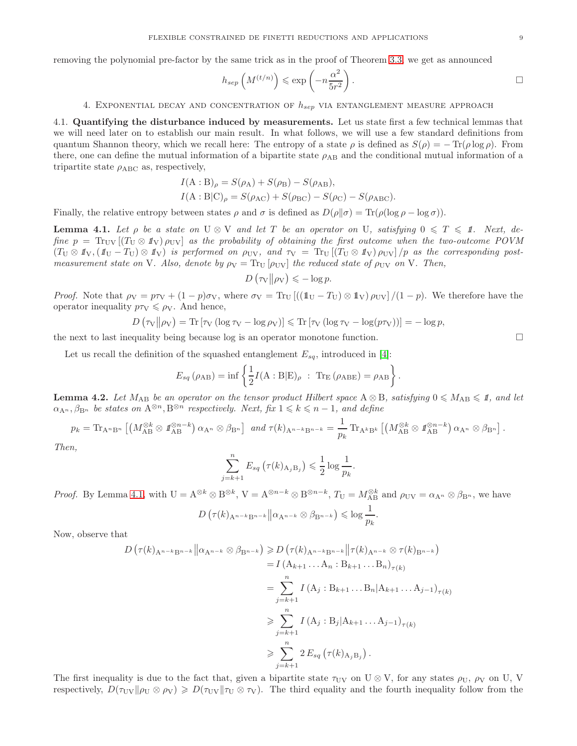removing the polynomial pre-factor by the same trick as in the proof of Theorem [3.3,](#page-6-1) we get as announced

$$
h_{sep} \left( M^{(t/n)} \right) \leqslant \exp \left( -n \frac{\alpha^2}{5r^2} \right).
$$

## 4. EXPONENTIAL DECAY AND CONCENTRATION OF  $h_{sep}$  via entanglement measure approach

<span id="page-8-0"></span>4.1. Quantifying the disturbance induced by measurements. Let us state first a few technical lemmas that we will need later on to establish our main result. In what follows, we will use a few standard definitions from quantum Shannon theory, which we recall here: The entropy of a state  $\rho$  is defined as  $S(\rho) = -\text{Tr}(\rho \log \rho)$ . From there, one can define the mutual information of a bipartite state  $\rho_{AB}$  and the conditional mutual information of a tripartite state  $\rho_{ABC}$  as, respectively,

$$
I(A:B)_{\rho} = S(\rho_{A}) + S(\rho_{B}) - S(\rho_{AB}),
$$
  
\n
$$
I(A:B|C)_{\rho} = S(\rho_{AC}) + S(\rho_{BC}) - S(\rho_{C}) - S(\rho_{ABC}).
$$

Finally, the relative entropy between states  $\rho$  and  $\sigma$  is defined as  $D(\rho||\sigma) = \text{Tr}(\rho(\log \rho - \log \sigma))$ .

<span id="page-8-1"></span>**Lemma 4.1.** Let  $\rho$  be a state on  $U \otimes V$  and let T be an operator on U, satisfying  $0 \leq T \leq \mathbf{1}$ . Next, de*fine*  $p = Tr_{UV}[(T_U \otimes \mathbb{1}_V) \rho_{UV}]$  *as the probability of obtaining the first outcome when the two-outcome POVM*  $(T_U \otimes \mathbb{1}_V, (\mathbb{1}_U - T_U) \otimes \mathbb{1}_V)$  *is performed on*  $\rho_{UV}$ *, and*  $\tau_V = Tr_U [(T_U \otimes \mathbb{1}_V) \rho_{UV}] / p$  *as the corresponding postmeasurement state on* V*. Also, denote by*  $\rho_V = \text{Tr}_{\text{U}}[\rho_{\text{UV}}]$  *the reduced state of*  $\rho_{\text{UV}}$  *on* V*. Then,* 

$$
D(\tau_{\rm V}||\rho_{\rm V}) \leqslant -\log p.
$$

*Proof.* Note that  $\rho_V = p\tau_V + (1 - p)\sigma_V$ , where  $\sigma_V = \text{Tr}_{U} \left[ \left( (\mathbb{1}_U - T_U) \otimes \mathbb{1}_V \right) \rho_{UV} \right] / (1 - p)$ . We therefore have the operator inequality  $p\tau_V \leq \rho_V$ . And hence,

$$
D(\tau_{\rm V}||\rho_{\rm V}) = {\rm Tr} [\tau_{\rm V} (\log \tau_{\rm V} - \log \rho_{\rm V})] \le {\rm Tr} [\tau_{\rm V} (\log \tau_{\rm V} - \log (p\tau_{\rm V}))] = -\log p,
$$

the next to last inequality being because log is an operator monotone function.

Let us recall the definition of the squashed entanglement  $E_{sq}$ , introduced in [\[4\]](#page-18-11):

$$
E_{sq}(\rho_{AB}) = \inf \left\{ \frac{1}{2} I(A : B|E)_{\rho} : \text{Tr}_{E}(\rho_{ABE}) = \rho_{AB} \right\}.
$$

<span id="page-8-2"></span>**Lemma 4.2.** Let  $M_{AB}$  be an operator on the tensor product Hilbert space  $A \otimes B$ , satisfying  $0 \leq M_{AB} \leq 1$ , and let  $\alpha_{A^n}, \beta_{B^n}$  *be states on*  $A^{\otimes n}, B^{\otimes n}$  *respectively. Next, fix*  $1 \leq k \leq n-1$ *, and define* 

$$
p_k = \mathrm{Tr}_{A^n B^n} \left[ \left( M_{AB}^{\otimes k} \otimes \mathbf{1}_{AB}^{\otimes n-k} \right) \alpha_{A^n} \otimes \beta_{B^n} \right] \text{ and } \tau(k)_{A^{n-k} B^{n-k}} = \frac{1}{p_k} \mathrm{Tr}_{A^k B^k} \left[ \left( M_{AB}^{\otimes k} \otimes \mathbf{1}_{AB}^{\otimes n-k} \right) \alpha_{A^n} \otimes \beta_{B^n} \right].
$$

*Then,*

$$
\sum_{j=k+1}^{n} E_{sq} \left( \tau(k)_{A_j B_j} \right) \leqslant \frac{1}{2} \log \frac{1}{p_k}.
$$

*Proof.* By Lemma [4.1,](#page-8-1) with  $U = A^{\otimes k} \otimes B^{\otimes k}$ ,  $V = A^{\otimes n-k} \otimes B^{\otimes n-k}$ ,  $T_U = M_{AB}^{\otimes k}$  and  $\rho_{UV} = \alpha_{A^n} \otimes \beta_{B^n}$ , we have

$$
D\left(\tau(k)_{\mathbf{A}^{n-k}\mathbf{B}^{n-k}}\middle\|\alpha_{\mathbf{A}^{n-k}}\otimes\beta_{\mathbf{B}^{n-k}}\right)\leqslant\log\frac{1}{p_k}.
$$

Now, observe that

$$
D\left(\tau(k)_{A^{n-k}B^{n-k}}\middle\| \alpha_{A^{n-k}} \otimes \beta_{B^{n-k}}\right) \ge D\left(\tau(k)_{A^{n-k}B^{n-k}}\middle\| \tau(k)_{A^{n-k}} \otimes \tau(k)_{B^{n-k}}\right)
$$
  
\n
$$
= I\left(A_{k+1} \dots A_n : B_{k+1} \dots B_n\right)_{\tau(k)}
$$
  
\n
$$
= \sum_{j=k+1}^n I\left(A_j : B_{k+1} \dots B_n | A_{k+1} \dots A_{j-1}\right)_{\tau(k)}
$$
  
\n
$$
\ge \sum_{j=k+1}^n I\left(A_j : B_j | A_{k+1} \dots A_{j-1}\right)_{\tau(k)}
$$
  
\n
$$
\ge \sum_{j=k+1}^n 2 E_{sq}\left(\tau(k)_{A_jB_j}\right).
$$

The first inequality is due to the fact that, given a bipartite state  $\tau_{UV}$  on U ⊗ V, for any states  $\rho_U$ ,  $\rho_V$  on U, V respectively,  $D(\tau_{UV}||\rho_U \otimes \rho_V) \geq D(\tau_{UV}||\tau_U \otimes \tau_V)$ . The third equality and the fourth inequality follow from the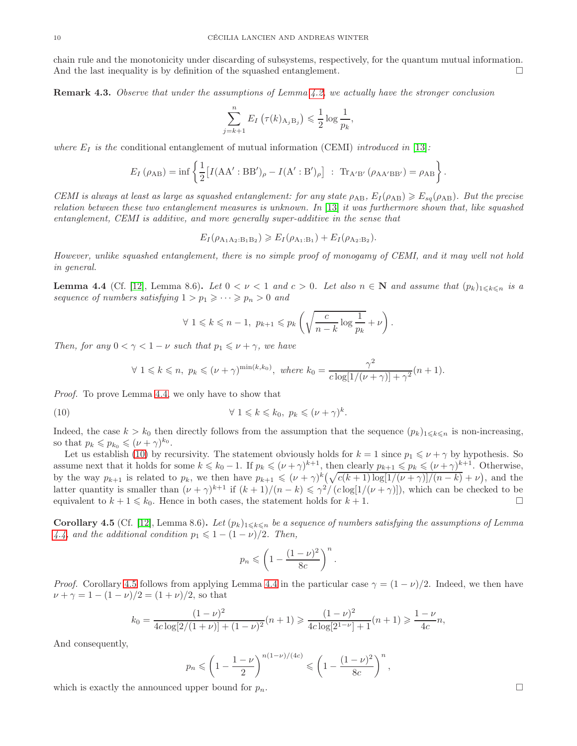chain rule and the monotonicity under discarding of subsystems, respectively, for the quantum mutual information. And the last inequality is by definition of the squashed entanglement.  $\Box$ 

<span id="page-9-3"></span>Remark 4.3. *Observe that under the assumptions of Lemma [4.2,](#page-8-2) we actually have the stronger conclusion*

$$
\sum_{j=k+1}^{n} E_I\left(\tau(k)_{A_j B_j}\right) \leqslant \frac{1}{2} \log \frac{1}{p_k},
$$

*where*  $E_I$  *is the* conditional entanglement of mutual information (CEMI) *introduced in* [\[13\]](#page-18-12)*:* 

$$
E_I(\rho_{AB}) = \inf \left\{ \frac{1}{2} \left[ I(AA' : BB')_{\rho} - I(A' : B')_{\rho} \right] : \operatorname{Tr}_{A'B'}(\rho_{AA'BB'}) = \rho_{AB} \right\}.
$$

*CEMI is always at least as large as squashed entanglement: for any state*  $\rho_{AB}$ ,  $E_I(\rho_{AB}) \geq E_{sq}(\rho_{AB})$ *. But the precise relation between these two entanglement measures is unknown. In* [\[13\]](#page-18-12) *it was furthermore shown that, like squashed entanglement, CEMI is additive, and more generally super-additive in the sense that*

$$
E_I(\rho_{A_1A_2:B_1B_2}) \geqslant E_I(\rho_{A_1:B_1}) + E_I(\rho_{A_2:B_2}).
$$

*However, unlike squashed entanglement, there is no simple proof of monogamy of CEMI, and it may well not hold in general.*

<span id="page-9-0"></span>**Lemma 4.4** (Cf. [\[12\]](#page-18-13), Lemma 8.6). Let  $0 < \nu < 1$  and  $c > 0$ . Let also  $n \in \mathbb{N}$  and assume that  $(p_k)_{1 \leq k \leq n}$  is a *sequence of numbers satisfying*  $1 > p_1 \geq \cdots \geq p_n > 0$  *and* 

<span id="page-9-1"></span>
$$
\forall 1 \leq k \leq n-1, \ p_{k+1} \leq p_k \left( \sqrt{\frac{c}{n-k} \log \frac{1}{p_k}} + \nu \right).
$$

*Then, for any*  $0 < \gamma < 1 - \nu$  *such that*  $p_1 \leq \nu + \gamma$ *, we have* 

$$
\forall 1 \leq k \leq n, \ p_k \leq (\nu + \gamma)^{\min(k, k_0)}, \ where \ k_0 = \frac{\gamma^2}{c \log[1/(\nu + \gamma)] + \gamma^2}(n + 1).
$$

*Proof.* To prove Lemma [4.4,](#page-9-0) we only have to show that

(10) 
$$
\forall 1 \leq k \leq k_0, p_k \leq (\nu + \gamma)^k.
$$

Indeed, the case  $k > k_0$  then directly follows from the assumption that the sequence  $(p_k)_{1 \leq k \leq n}$  is non-increasing, so that  $p_k \leqslant p_{k_0} \leqslant (\nu + \gamma)^{k_0}$ .

Let us establish [\(10\)](#page-9-1) by recursivity. The statement obviously holds for  $k = 1$  since  $p_1 \leq \nu + \gamma$  by hypothesis. So assume next that it holds for some  $k \leq k_0 - 1$ . If  $p_k \leqslant (\nu + \gamma)^{k+1}$ , then clearly  $p_{k+1} \leqslant p_k \leqslant (\nu + \gamma)^{k+1}$ . Otherwise, by the way  $p_{k+1}$  is related to  $p_k$ , we then have  $p_{k+1} \leqslant (\nu + \gamma)^k \left(\sqrt{c(k+1) \log[1/(\nu + \gamma)]/(n-k)} + \nu\right)$ , and the latter quantity is smaller than  $(\nu + \gamma)^{k+1}$  if  $(k+1)/(n-k) \leq \gamma^2/(c \log[1/(\nu + \gamma)])$ , which can be checked to be equivalent to  $k + 1 \leq k_0$ . Hence in both cases, the statement holds for  $k + 1$ .

<span id="page-9-2"></span>Corollary 4.5 (Cf. [\[12\]](#page-18-13), Lemma 8.6). Let  $(p_k)_{1\leq k\leq n}$  be a sequence of numbers satisfying the assumptions of Lemma *[4.4,](#page-9-0)* and the additional condition  $p_1 \leq 1 - (1 - \nu)/2$ . Then,

$$
p_n \leqslant \left(1 - \frac{(1 - \nu)^2}{8c}\right)^n.
$$

*Proof.* Corollary [4.5](#page-9-2) follows from applying Lemma [4.4](#page-9-0) in the particular case  $\gamma = (1 - \nu)/2$ . Indeed, we then have  $\nu + \gamma = 1 - (1 - \nu)/2 = (1 + \nu)/2$ , so that

$$
k_0 = \frac{(1-\nu)^2}{4c\log[2/(1+\nu)] + (1-\nu)^2}(n+1) \ge \frac{(1-\nu)^2}{4c\log[2^{1-\nu}] + 1}(n+1) \ge \frac{1-\nu}{4c}n,
$$

And consequently,

$$
p_n \leqslant \left(1 - \frac{1 - \nu}{2}\right)^{n(1 - \nu)/(4c)} \leqslant \left(1 - \frac{(1 - \nu)^2}{8c}\right)^n,
$$

which is exactly the announced upper bound for  $p_n$ .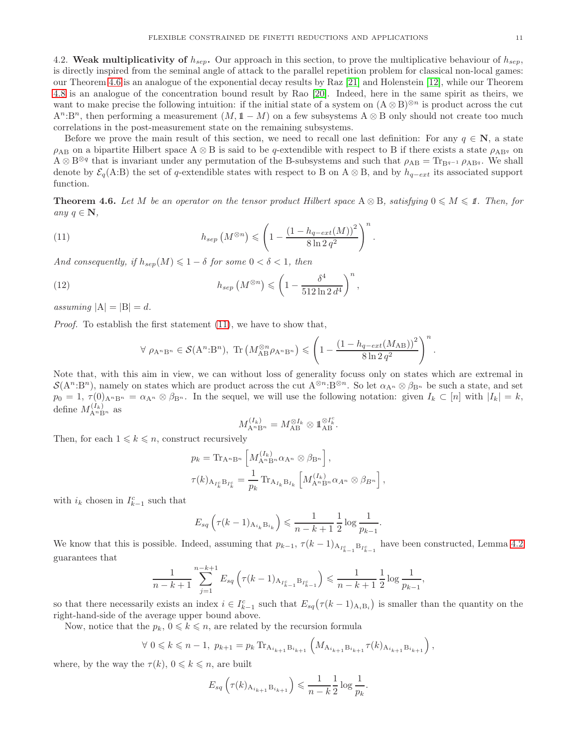4.2. Weak multiplicativity of  $h_{sep}$ . Our approach in this section, to prove the multiplicative behaviour of  $h_{sep}$ , is directly inspired from the seminal angle of attack to the parallel repetition problem for classical non-local games: our Theorem [4.6](#page-10-0) is an analogue of the exponential decay results by Raz [\[21\]](#page-18-14) and Holenstein [\[12\]](#page-18-13), while our Theorem [4.8](#page-12-0) is an analogue of the concentration bound result by Rao [\[20\]](#page-18-15). Indeed, here in the same spirit as theirs, we want to make precise the following intuition: if the initial state of a system on  $(A \otimes B)^{\otimes n}$  is product across the cut  $A^n:B^n$ , then performing a measurement  $(M, 1\! 1 - M)$  on a few subsystems  $A \otimes B$  only should not create too much correlations in the post-measurement state on the remaining subsystems.

Before we prove the main result of this section, we need to recall one last definition: For any  $q \in \mathbb{N}$ , a state  $\rho_{AB}$  on a bipartite Hilbert space  $A \otimes B$  is said to be q-extendible with respect to B if there exists a state  $\rho_{ABq}$  on  $A \otimes B^{\otimes q}$  that is invariant under any permutation of the B-subsystems and such that  $\rho_{AB} = \text{Tr}_{B^{q-1}} \rho_{ABq}$ . We shall denote by  $\mathcal{E}_q(A:B)$  the set of q-extendible states with respect to B on A ⊗ B, and by  $h_{q-ext}$  its associated support function.

<span id="page-10-0"></span>**Theorem 4.6.** Let M be an operator on the tensor product Hilbert space  $A \otimes B$ , satisfying  $0 \leq M \leq 1$ . Then, for *any*  $q \in \mathbb{N}$ ,

.

(11) 
$$
h_{sep}(M^{\otimes n}) \leqslant \left(1 - \frac{\left(1 - h_{q-ext}(M)\right)^2}{8 \ln 2 q^2}\right)^n
$$

*And consequently, if*  $h_{sep}(M) \leq 1 - \delta$  *for some*  $0 < \delta < 1$ *, then* 

(12) 
$$
h_{sep}(M^{\otimes n}) \leqslant \left(1 - \frac{\delta^4}{512 \ln 2 d^4}\right)^n,
$$

*assuming*  $|A| = |B| = d$ .

*Proof.* To establish the first statement [\(11\)](#page-10-1), we have to show that,

<span id="page-10-2"></span><span id="page-10-1"></span>
$$
\forall \ \rho_{A^n B^n} \in \mathcal{S}(A^n:B^n), \ \mathrm{Tr}\left(M_{AB}^{\otimes n} \rho_{A^n B^n}\right) \leqslant \left(1 - \frac{\left(1 - h_{q-\text{ext}}(M_{AB})\right)^2}{8\ln 2 \, q^2}\right)^n.
$$

Note that, with this aim in view, we can without loss of generality focuss only on states which are extremal in  $\mathcal{S}(A^n:B^n)$ , namely on states which are product across the cut  $A^{\otimes n}:B^{\otimes n}$ . So let  $\alpha_{A^n}\otimes\beta_{B^n}$  be such a state, and set  $p_0 = 1, \tau(0)_{A^n B^n} = \alpha_{A^n} \otimes \beta_{B^n}$ . In the sequel, we will use the following notation: given  $I_k \subset [n]$  with  $|I_k| = k$ , define  $M_{\mathbf{A}^n \mathbf{B}^n}^{(I_k)}$  as

$$
M_{\mathbf{A}^n \mathbf{B}^n}^{(I_k)} = M_{\mathbf{A} \mathbf{B}}^{\otimes I_k} \otimes \mathbb{1}_{\mathbf{A} \mathbf{B}}^{\otimes I_k^c}.
$$

Then, for each  $1 \leq k \leq n$ , construct recursively

$$
p_k = \mathrm{Tr}_{\mathbf{A}^n \mathbf{B}^n} \left[ M_{\mathbf{A}^n \mathbf{B}^n}^{(I_k)} \alpha_{\mathbf{A}^n} \otimes \beta_{\mathbf{B}^n} \right],
$$
  

$$
\tau(k)_{\mathbf{A}_{I_k^c} \mathbf{B}_{I_k^c}} = \frac{1}{p_k} \mathrm{Tr}_{\mathbf{A}_{I_k} \mathbf{B}_{I_k}} \left[ M_{\mathbf{A}^n \mathbf{B}^n}^{(I_k)} \alpha_{\mathbf{A}^n} \otimes \beta_{\mathbf{B}^n} \right],
$$

with  $i_k$  chosen in  $I_{k-1}^c$  such that

$$
E_{sq}\left(\tau(k-1)_{A_{i_k}B_{i_k}}\right) \leq \frac{1}{n-k+1} \frac{1}{2} \log \frac{1}{p_{k-1}}.
$$

We know that this is possible. Indeed, assuming that  $p_{k-1}$ ,  $\tau(k-1)_{A_{I_{k-1}^c} \cdot B_{I_{k-1}^c}}$  have been constructed, Lemma [4.2](#page-8-2) guarantees that

$$
\frac{1}{n-k+1} \sum_{j=1}^{n-k+1} E_{sq} \left( \tau(k-1)_{A_{I_{k-1}^c} B_{I_{k-1}^c}} \right) \leqslant \frac{1}{n-k+1} \frac{1}{2} \log \frac{1}{p_{k-1}},
$$

so that there necessarily exists an index  $i \in I_{k-1}^c$  such that  $E_{sq}(\tau(k-1)_{A_i B_i})$  is smaller than the quantity on the right-hand-side of the average upper bound above.

Now, notice that the  $p_k, 0 \leq k \leq n$ , are related by the recursion formula

$$
\forall \ 0 \leq k \leq n-1, \ p_{k+1} = p_k \operatorname{Tr}_{\mathbf{A}_{i_{k+1}} \mathbf{B}_{i_{k+1}}} \left( M_{\mathbf{A}_{i_{k+1}} \mathbf{B}_{i_{k+1}}} \tau(k)_{\mathbf{A}_{i_{k+1}} \mathbf{B}_{i_{k+1}}} \right),
$$

where, by the way the  $\tau(k)$ ,  $0 \leq k \leq n$ , are built

$$
E_{sq}\left(\tau(k)_{A_{i_{k+1}}B_{i_{k+1}}}\right) \leq \frac{1}{n-k} \frac{1}{2} \log \frac{1}{p_k}.
$$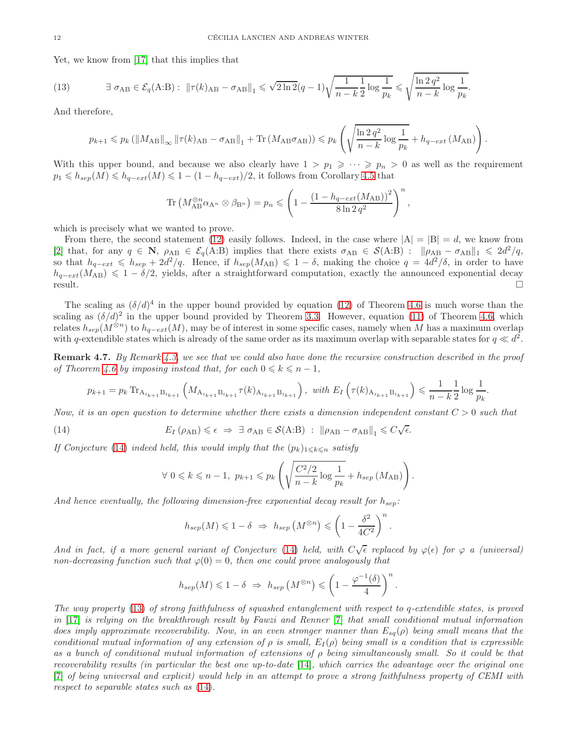Yet, we know from [\[17\]](#page-18-16) that this implies that

(13) 
$$
\exists \sigma_{AB} \in \mathcal{E}_q(A:B): \|\tau(k)_{AB} - \sigma_{AB}\|_1 \leqslant \sqrt{2\ln 2}(q-1)\sqrt{\frac{1}{n-k}\frac{1}{2}\log\frac{1}{p_k}} \leqslant \sqrt{\frac{\ln 2 q^2}{n-k}\log\frac{1}{p_k}}.
$$

And therefore,

<span id="page-11-1"></span>
$$
p_{k+1} \leq p_k \left( \left\| M_{\text{AB}} \right\|_{\infty} \left\| \tau(k)_{\text{AB}} - \sigma_{\text{AB}} \right\|_{1} + \text{Tr} \left( M_{\text{AB}} \sigma_{\text{AB}} \right) \right) \leqslant p_k \left( \sqrt{\frac{\ln 2 \, q^2}{n-k}} \log \frac{1}{p_k} + h_{q-\text{ext}} \left( M_{\text{AB}} \right) \right).
$$

With this upper bound, and because we also clearly have  $1 > p_1 \geqslant \cdots \geqslant p_n > 0$  as well as the requirement  $p_1 \leqslant h_{sep}(M) \leqslant h_{q-ext}(M) \leqslant 1 - (1 - h_{q-ext})/2$ , it follows from Corollary [4.5](#page-9-2) that

$$
\operatorname{Tr}\left(M_{\rm AB}^{\otimes n} \alpha_{\rm A} \otimes \beta_{\rm B} \otimes \right) = p_n \leqslant \left(1 - \frac{\left(1 - h_{q-ext}(M_{\rm AB})\right)^2}{8 \ln 2 \, q^2}\right)^n
$$

,

.

which is precisely what we wanted to prove.

From there, the second statement [\(12\)](#page-10-2) easily follows. Indeed, in the case where  $|A| = |B| = d$ , we know from [\[2\]](#page-18-17) that, for any  $q \in \mathbb{N}$ ,  $\rho_{AB} \in \mathcal{E}_q(A:B)$  implies that there exists  $\sigma_{AB} \in \mathcal{S}(A:B)$ :  $\|\rho_{AB} - \sigma_{AB}\|_1 \leq 2d^2/q$ , so that  $h_{q-ext} \leq h_{sep} + 2d^2/q$ . Hence, if  $h_{sep}(M_{AB}) \leq 1-\delta$ , making the choice  $q = 4d^2/\delta$ , in order to have  $h_{q-ext}(M_{AB}) \leq 1 - \delta/2$ , yields, after a straightforward computation, exactly the announced exponential decay result.  $r$ esult.

The scaling as  $(\delta/d)^4$  in the upper bound provided by equation [\(12\)](#page-10-2) of Theorem [4.6](#page-10-0) is much worse than the scaling as  $(\delta/d)^2$  in the upper bound provided by Theorem [3.3.](#page-6-1) However, equation [\(11\)](#page-10-1) of Theorem [4.6,](#page-10-0) which relates  $h_{sep}(M^{\otimes n})$  to  $h_{q-ext}(M)$ , may be of interest in some specific cases, namely when M has a maximum overlap with q-extendible states which is already of the same order as its maximum overlap with separable states for  $q \ll d^2$ .

Remark 4.7. *By Remark [4.3,](#page-9-3) we see that we could also have done the recursive construction described in the proof of Theorem [4.6](#page-10-0) by imposing instead that, for each*  $0 \leq k \leq n-1$ ,

$$
p_{k+1} = p_k \operatorname{Tr}_{A_{i_{k+1}} B_{i_{k+1}}} \left( M_{A_{i_{k+1}} B_{i_{k+1}}} \tau(k)_{A_{i_{k+1}} B_{i_{k+1}}}\right), \text{ with } E_I\left(\tau(k)_{A_{i_{k+1}} B_{i_{k+1}}}\right) \leqslant \frac{1}{n-k} \frac{1}{2} \log \frac{1}{p_k}.
$$

*Now, it is an open question to determine whether there exists a dimension independent constant* C > 0 *such that*

(14) 
$$
E_I(\rho_{AB}) \leq \epsilon \Rightarrow \exists \sigma_{AB} \in \mathcal{S}(A:B) : \|\rho_{AB} - \sigma_{AB}\|_1 \leq C\sqrt{\epsilon}.
$$

*If Conjecture* [\(14\)](#page-11-0) *indeed held, this would imply that the*  $(p_k)_{1 \leq k \leq n}$  *satisfy* 

<span id="page-11-0"></span>
$$
\forall \ 0 \leq k \leq n-1, \ p_{k+1} \leq p_k \left( \sqrt{\frac{C^2/2}{n-k} \log \frac{1}{p_k}} + h_{sep} \left( M_{AB} \right) \right).
$$

And hence eventually, the following dimension-free exponential decay result for  $h_{sep}$ :

$$
h_{sep}(M) \leq 1 - \delta \implies h_{sep}(M^{\otimes n}) \leq \left(1 - \frac{\delta^2}{4C^2}\right)^n
$$

*And in fact, if a more general variant of Conjecture* [\(14\)](#page-11-0) *held, with*  $C\sqrt{\epsilon}$  *replaced by*  $\varphi(\epsilon)$  *for*  $\varphi$  *a (universal) non-decreasing function such that*  $\varphi(0) = 0$ *, then one could prove analogously that* 

$$
h_{sep}(M) \leq 1 - \delta \Rightarrow h_{sep}(M^{\otimes n}) \leq \left(1 - \frac{\varphi^{-1}(\delta)}{4}\right)^n.
$$

*The way property* [\(13\)](#page-11-1) *of strong faithfulness of squashed entanglement with respect to* q*-extendible states, is proved in* [\[17\]](#page-18-16) *is relying on the breakthrough result by Fawzi and Renner* [\[7\]](#page-18-18) *that small conditional mutual information does imply approximate recoverability. Now, in an even stronger manner than*  $E_{sa}(\rho)$  *being small means that the conditional mutual information of any extension of*  $\rho$  *is small,*  $E_I(\rho)$  *being small is a condition that is expressible as a bunch of conditional mutual information of extensions of* ρ *being simultaneously small. So it could be that recoverability results (in particular the best one up-to-date* [\[14\]](#page-18-19)*, which carries the advantage over the original one* [\[7\]](#page-18-18) *of being universal and explicit) would help in an attempt to prove a strong faithfulness property of CEMI with respect to separable states such as* [\(14\)](#page-11-0)*.*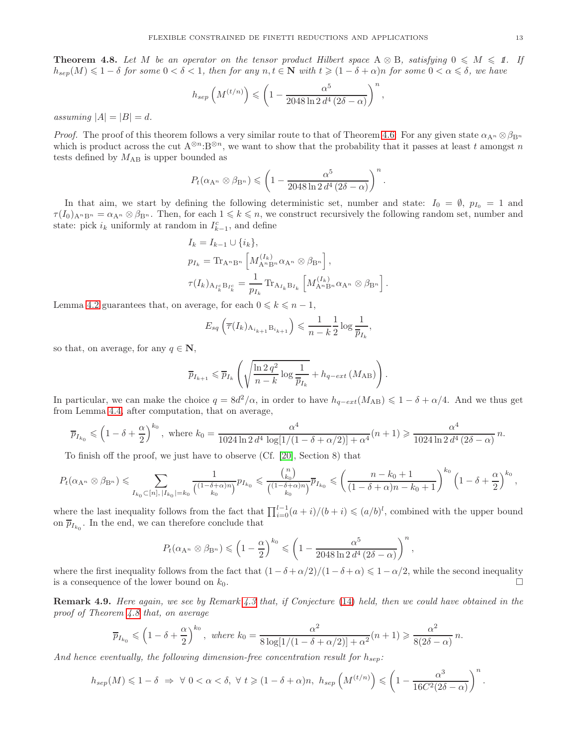<span id="page-12-0"></span>**Theorem 4.8.** Let M be an operator on the tensor product Hilbert space  $A \otimes B$ , satisfying  $0 \leq M \leq 1$ . If  $h_{sep}(M) \leq 1-\delta$  *for some*  $0 < \delta < 1$ *, then for any*  $n, t \in \mathbb{N}$  *with*  $t \geq (1-\delta+\alpha)n$  *for some*  $0 < \alpha \leq \delta$ *, we have* 

$$
h_{sep}\left(M^{(t/n)}\right) \leqslant \left(1 - \frac{\alpha^5}{2048\ln 2 d^4 \left(2\delta - \alpha\right)}\right)^n,
$$

*assuming*  $|A| = |B| = d$ *.* 

*Proof.* The proof of this theorem follows a very similar route to that of Theorem [4.6:](#page-10-0) For any given state  $\alpha_{A^n} \otimes \beta_{B^n}$ which is product across the cut  $A^{\otimes n}$ : $B^{\otimes n}$ , we want to show that the probability that it passes at least t amongst n tests defined by  $M_{AB}$  is upper bounded as

$$
P_t(\alpha_{\mathbf{A}^n} \otimes \beta_{\mathbf{B}^n}) \leqslant \left(1 - \frac{\alpha^5}{2048 \ln 2 d^4 (2\delta - \alpha)}\right)^n.
$$

In that aim, we start by defining the following deterministic set, number and state:  $I_0 = \emptyset$ ,  $p_{I_0} = 1$  and  $\tau(I_0)_{A^nB^n} = \alpha_{A^n} \otimes \beta_{B^n}$ . Then, for each  $1 \leq k \leq n$ , we construct recursively the following random set, number and state: pick  $i_k$  uniformly at random in  $I_{k-1}^c$ , and define

$$
I_{k} = I_{k-1} \cup \{i_{k}\},
$$
  
\n
$$
p_{I_{k}} = \text{Tr}_{A^{n}B^{n}} \left[M_{A^{n}B^{n}}^{(I_{k})} \alpha_{A^{n}} \otimes \beta_{B^{n}}\right],
$$
  
\n
$$
\tau(I_{k})_{A_{I_{k}^{c}}B_{I_{k}^{c}}} = \frac{1}{p_{I_{k}}} \text{Tr}_{A_{I_{k}}B_{I_{k}}} \left[M_{A^{n}B^{n}}^{(I_{k})} \alpha_{A^{n}} \otimes \beta_{B^{n}}\right].
$$

Lemma [4.2](#page-8-2) guarantees that, on average, for each  $0 \leq k \leq n-1$ ,

$$
E_{sq}\left(\overline{\tau}(I_k)_{A_{i_{k+1}}B_{i_{k+1}}}\right) \leqslant \frac{1}{n-k} \frac{1}{2} \log \frac{1}{\overline{p}_{I_k}},
$$

so that, on average, for any  $q \in \mathbb{N}$ ,

$$
\overline{p}_{I_{k+1}} \leqslant \overline{p}_{I_k} \left( \sqrt{\frac{\ln 2 \, q^2}{n-k} \log \frac{1}{\overline{p}_{I_k}}} + h_{q-\text{ext}} \left( M_{AB} \right) \right).
$$

In particular, we can make the choice  $q = 8d^2/\alpha$ , in order to have  $h_{q-ext}(M_{AB}) \leq 1 - \delta + \alpha/4$ . And we thus get from Lemma [4.4,](#page-9-0) after computation, that on average,

$$
\overline{p}_{I_{k_0}} \leqslant \left(1 - \delta + \frac{\alpha}{2}\right)^{k_0}, \text{ where } k_0 = \frac{\alpha^4}{1024 \ln 2 d^4 \log[1/(1 - \delta + \alpha/2)] + \alpha^4} (n+1) \geqslant \frac{\alpha^4}{1024 \ln 2 d^4 (2\delta - \alpha)} n.
$$

To finish off the proof, we just have to observe (Cf. [\[20\]](#page-18-15), Section 8) that

$$
P_t(\alpha_{A^n} \otimes \beta_{B^n}) \leq \sum_{I_{k_0} \subset [n], \, |I_{k_0}| = k_0} \frac{1}{\binom{(1-\delta + \alpha)n}{k_0} } p_{I_{k_0}} \leqslant \frac{\binom{n}{k_0}}{\binom{(1-\delta + \alpha)n}{k_0} } \overline{p}_{I_{k_0}} \leqslant \left( \frac{n-k_0+1}{(1-\delta + \alpha)n - k_0+1} \right)^{k_0} \left( 1 - \delta + \frac{\alpha}{2} \right)^{k_0},
$$

where the last inequality follows from the fact that  $\prod_{i=0}^{l-1}(a+i)/(b+i) \leqslant (a/b)^l$ , combined with the upper bound on  $\overline{p}_{I_{k_0}}$ . In the end, we can therefore conclude that

$$
P_t(\alpha_{\mathbf{A}^n} \otimes \beta_{\mathbf{B}^n}) \leqslant \left(1 - \frac{\alpha}{2}\right)^{k_0} \leqslant \left(1 - \frac{\alpha^5}{2048 \ln 2 d^4 \left(2\delta - \alpha\right)}\right)^n,
$$

where the first inequality follows from the fact that  $(1 - \delta + \alpha/2)/(1 - \delta + \alpha) \leq 1 - \alpha/2$ , while the second inequality is a consequence of the lower bound on  $k_0$ is a consequence of the lower bound on  $k_0$ .

Remark 4.9. *Here again, we see by Remark [4.3](#page-9-3) that, if Conjecture* [\(14\)](#page-11-0) *held, then we could have obtained in the proof of Theorem [4.8](#page-12-0) that, on average*

$$
\overline{p}_{I_{k_0}} \leqslant \left(1 - \delta + \frac{\alpha}{2}\right)^{k_0}, \text{ where } k_0 = \frac{\alpha^2}{8\log[1/(1 - \delta + \alpha/2)] + \alpha^2}(n+1) \geqslant \frac{\alpha^2}{8(2\delta - \alpha)}n.
$$

And hence eventually, the following dimension-free concentration result for  $h_{sep}$ :

$$
h_{sep}(M) \leq 1-\delta \Rightarrow \forall 0 < \alpha < \delta, \ \forall t \geq (1-\delta+\alpha)n, \ h_{sep}\left(M^{(t/n)}\right) \leq \left(1-\frac{\alpha^3}{16C^2(2\delta-\alpha)}\right)^n.
$$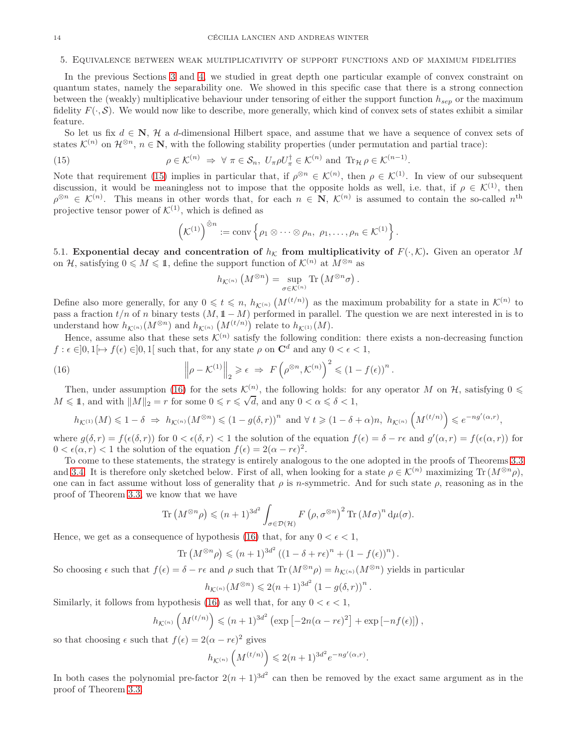### <span id="page-13-0"></span>5. Equivalence between weak multiplicativity of support functions and of maximum fidelities

In the previous Sections [3](#page-4-0) and [4,](#page-8-0) we studied in great depth one particular example of convex constraint on quantum states, namely the separability one. We showed in this specific case that there is a strong connection between the (weakly) multiplicative behaviour under tensoring of either the support function  $h_{sen}$  or the maximum fidelity  $F(\cdot, \mathcal{S})$ . We would now like to describe, more generally, which kind of convex sets of states exhibit a similar feature.

So let us fix  $d \in \mathbb{N}$ , H a d-dimensional Hilbert space, and assume that we have a sequence of convex sets of states  $\mathcal{K}^{(n)}$  on  $\mathcal{H}^{\otimes n}$ ,  $n \in \mathbb{N}$ , with the following stability properties (under permutation and partial trace):

(15) 
$$
\rho \in \mathcal{K}^{(n)} \Rightarrow \forall \pi \in \mathcal{S}_n, U_{\pi} \rho U_{\pi}^{\dagger} \in \mathcal{K}^{(n)} \text{ and } \text{Tr}_{\mathcal{H}} \rho \in \mathcal{K}^{(n-1)}.
$$

Note that requirement [\(15\)](#page-13-1) implies in particular that, if  $\rho^{\otimes n} \in \mathcal{K}^{(n)}$ , then  $\rho \in \mathcal{K}^{(1)}$ . In view of our subsequent discussion, it would be meaningless not to impose that the opposite holds as well, i.e. that, if  $\rho \in \mathcal{K}^{(1)}$ , then  $\rho^{\otimes n} \in \mathcal{K}^{(n)}$ . This means in other words that, for each  $n \in \mathbb{N}$ ,  $\mathcal{K}^{(n)}$  is assumed to contain the so-called  $n^{\text{th}}$ projective tensor power of  $\mathcal{K}^{(1)}$ , which is defined as

<span id="page-13-1"></span>
$$
\left(\mathcal{K}^{(1)}\right)^{\hat{\otimes}n}:=\mathrm{conv}\left\{\rho_1\otimes\cdots\otimes\rho_n,\ \rho_1,\ldots,\rho_n\in\mathcal{K}^{(1)}\right\}.
$$

5.1. Exponential decay and concentration of  $h<sub>K</sub>$  from multiplicativity of  $F(\cdot, K)$ . Given an operator M on H, satisfying  $0 \leq M \leq 1$ , define the support function of  $\mathcal{K}^{(n)}$  at  $M^{\otimes n}$  as

<span id="page-13-2"></span>
$$
h_{\mathcal{K}^{\left( n \right)}}\left( M^{\otimes n} \right) = \sup_{\sigma \in \mathcal{K}^{\left( n \right)}} \mathrm{Tr}\left( M^{\otimes n} \sigma \right)
$$

.

.

Define also more generally, for any  $0 \leq t \leq n$ ,  $h_{\mathcal{K}^{(n)}}(M^{(t/n)})$  as the maximum probability for a state in  $\mathcal{K}^{(n)}$  to pass a fraction  $t/n$  of n binary tests  $(M, 1 - M)$  performed in parallel. The question we are next interested in is to understand how  $h_{\mathcal{K}^{(n)}}(M^{\otimes n})$  and  $h_{\mathcal{K}^{(n)}}(M^{(t/n)})$  relate to  $h_{\mathcal{K}^{(1)}}(M)$ .

Hence, assume also that these sets  $\mathcal{K}^{(n)}$  satisfy the following condition: there exists a non-decreasing function  $f: \epsilon \in ]0,1[\mapsto f(\epsilon) \in ]0,1]$  such that, for any state  $\rho$  on  $\mathbb{C}^d$  and any  $0 < \epsilon < 1$ ,

(16) 
$$
\left\|\rho - \mathcal{K}^{(1)}\right\|_2 \geqslant \epsilon \Rightarrow F\left(\rho^{\otimes n}, \mathcal{K}^{(n)}\right)^2 \leqslant \left(1 - f(\epsilon)\right)^n
$$

Then, under assumption [\(16\)](#page-13-2) for the sets  $\mathcal{K}_{\square}^{(n)}$ , the following holds: for any operator M on H, satisfying  $0 \leq$  $M \leq 1$ , and with  $||M||_2 = r$  for some  $0 \leq r \leq \sqrt{d}$ , and any  $0 < \alpha \leq \delta < 1$ ,

$$
h_{\mathcal{K}^{(1)}}(M) \leq 1-\delta \ \Rightarrow \ h_{\mathcal{K}^{(n)}}(M^{\otimes n}) \leq (1-g(\delta,r))^n \ \text{ and } \forall \ t \geqslant (1-\delta+\alpha)n, \ h_{\mathcal{K}^{(n)}}\left(M^{(t/n)}\right) \leqslant e^{-ng'(\alpha,r)},
$$

where  $g(\delta, r) = f(\epsilon(\delta, r))$  for  $0 < \epsilon(\delta, r) < 1$  the solution of the equation  $f(\epsilon) = \delta - r\epsilon$  and  $g'(\alpha, r) = f(\epsilon(\alpha, r))$  for  $0 < \epsilon(\alpha, r) < 1$  the solution of the equation  $f(\epsilon) = 2(\alpha - r\epsilon)^2$ .

To come to these statements, the strategy is entirely analogous to the one adopted in the proofs of Theorems [3.3](#page-6-1) and [3.4.](#page-7-2) It is therefore only sketched below. First of all, when looking for a state  $\rho \in \mathcal{K}^{(n)}$  maximizing Tr  $(M^{\otimes n}\rho)$ , one can in fact assume without loss of generality that  $\rho$  is n-symmetric. And for such state  $\rho$ , reasoning as in the proof of Theorem [3.3,](#page-6-1) we know that we have

$$
\operatorname{Tr}\left(M^{\otimes n}\rho\right) \leqslant (n+1)^{3d^2} \int_{\sigma \in \mathcal{D}(\mathcal{H})} F\left(\rho, \sigma^{\otimes n}\right)^2 \operatorname{Tr}\left(M\sigma\right)^n \mathrm{d}\mu(\sigma).
$$

Hence, we get as a consequence of hypothesis [\(16\)](#page-13-2) that, for any  $0 < \epsilon < 1$ ,

Tr 
$$
(M^{\otimes n}\rho) \le (n+1)^{3d^2} ((1-\delta+r\epsilon)^n + (1-f(\epsilon))^n).
$$

So choosing  $\epsilon$  such that  $f(\epsilon) = \delta - r\epsilon$  and  $\rho$  such that Tr  $(M^{\otimes n}\rho) = h_{\mathcal{K}^{(n)}}(M^{\otimes n})$  yields in particular

$$
h_{\mathcal{K}^{(n)}}(M^{\otimes n}) \leq 2(n+1)^{3d^2} (1 - g(\delta, r))^n.
$$

Similarly, it follows from hypothesis [\(16\)](#page-13-2) as well that, for any  $0 < \epsilon < 1$ ,

$$
h_{\mathcal{K}^{(n)}}\left(M^{(t/n)}\right) \leqslant (n+1)^{3d^2} \left(\exp\left[-2n(\alpha-r\epsilon)^2\right] + \exp\left[-nf(\epsilon)\right]\right),
$$

so that choosing  $\epsilon$  such that  $f(\epsilon) = 2(\alpha - r\epsilon)^2$  gives

$$
h_{\mathcal{K}^{(n)}}\left(M^{(t/n)}\right)\leqslant 2(n+1)^{3d^2}e^{-ng'(\alpha,r)}.
$$

In both cases the polynomial pre-factor  $2(n+1)^{3d^2}$  can then be removed by the exact same argument as in the proof of Theorem [3.3.](#page-6-1)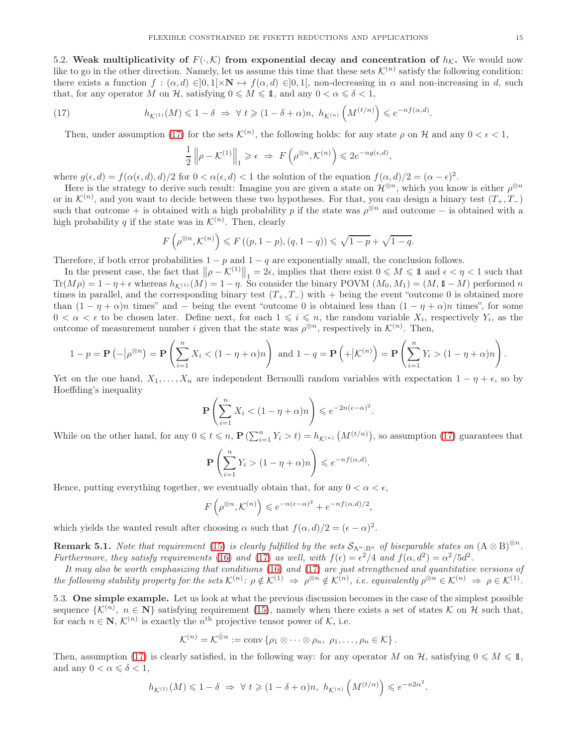5.2. Weak multiplicativity of  $F(\cdot,\mathcal{K})$  from exponential decay and concentration of  $h_{\mathcal{K}}$ . We would now like to go in the other direction. Namely, let us assume this time that these sets  $\mathcal{K}^{(n)}$  satisfy the following condition: there exists a function  $f : (\alpha, d) \in ]0, 1[\times N \to f(\alpha, d) \in ]0, 1[$ , non-decreasing in  $\alpha$  and non-increasing in d, such that, for any operator M on H, satisfying  $0 \le M \le 1$ , and any  $0 < \alpha \le \delta < 1$ ,

(17) 
$$
h_{\mathcal{K}^{(1)}}(M) \leq 1 - \delta \implies \forall t \geq (1 - \delta + \alpha)n, \ h_{\mathcal{K}^{(n)}}\left(M^{(t/n)}\right) \leq e^{-nf(\alpha,d)}.
$$

Then, under assumption [\(17\)](#page-14-0) for the sets  $\mathcal{K}^{(n)}$ , the following holds: for any state  $\rho$  on  $\mathcal{H}$  and any  $0 < \epsilon < 1$ ,

<span id="page-14-0"></span>
$$
\frac{1}{2} \left\| \rho - \mathcal{K}^{(1)} \right\|_1 \geq \epsilon \implies F\left(\rho^{\otimes n}, \mathcal{K}^{(n)}\right) \leq 2e^{-ng(\epsilon, d)},
$$

where  $g(\epsilon, d) = f(\alpha(\epsilon, d), d)/2$  for  $0 < \alpha(\epsilon, d) < 1$  the solution of the equation  $f(\alpha, d)/2 = (\alpha - \epsilon)^2$ .

Here is the strategy to derive such result: Imagine you are given a state on  $\mathcal{H}^{\otimes n}$ , which you know is either  $\rho^{\otimes n}$ . or in  $\mathcal{K}^{(n)}$ , and you want to decide between these two hypotheses. For that, you can design a binary test  $(T_+, T_-)$ such that outcome + is obtained with a high probability p if the state was  $\rho^{\otimes n}$  and outcome – is obtained with a high probability q if the state was in  $\mathcal{K}^{(n)}$ . Then, clearly

$$
F\left(\rho^{\otimes n}, \mathcal{K}^{(n)}\right) \leqslant F\left((p, 1-p), (q, 1-q)\right) \leqslant \sqrt{1-p} + \sqrt{1-q}.
$$

Therefore, if both error probabilities  $1 - p$  and  $1 - q$  are exponentially small, the conclusion follows.

In the present case, the fact that  $\|\rho - \mathcal{K}^{(1)}\|_1 = 2\epsilon$ , implies that there exist  $0 \leq M \leq 1$  and  $\epsilon < \eta < 1$  such that  $Tr(M\rho) = 1 - \eta + \epsilon$  whereas  $h_{\mathcal{K}^{(1)}}(M) = 1 - \eta$ . So consider the binary POVM  $(M_0, M_1) = (M, 1 - M)$  performed n times in parallel, and the corresponding binary test  $(T_+, T_-)$  with + being the event "outcome 0 is obtained more than  $(1 - \eta + \alpha)n$  times" and – being the event "outcome 0 is obtained less than  $(1 - \eta + \alpha)n$  times", for some  $0 < \alpha < \epsilon$  to be chosen later. Define next, for each  $1 \leq i \leq n$ , the random variable  $X_i$ , respectively  $Y_i$ , as the outcome of measurement number *i* given that the state was  $\rho^{\otimes n}$ , respectively in  $\mathcal{K}^{(n)}$ . Then,

$$
1-p = \mathbf{P}\left(-\left|\rho^{\otimes n}\right.\right) = \mathbf{P}\left(\sum_{i=1}^n X_i < (1-\eta+\alpha)n\right) \text{ and } 1-q = \mathbf{P}\left(+\left|\mathcal{K}^{(n)}\right.\right) = \mathbf{P}\left(\sum_{i=1}^n Y_i > (1-\eta+\alpha)n\right).
$$

Yet on the one hand,  $X_1, \ldots, X_n$  are independent Bernoulli random variables with expectation  $1 - \eta + \epsilon$ , so by Hoeffding's inequality

$$
\mathbf{P}\left(\sum_{i=1}^n X_i < (1-\eta+\alpha)n\right) \leqslant e^{-2n(\epsilon-\alpha)^2}.
$$

While on the other hand, for any  $0 \leqslant t \leqslant n$ ,  $\mathbf{P}(\sum_{i=1}^n Y_i > t) = h_{\mathcal{K}^{(n)}}(M^{(t/n)})$ , so assumption [\(17\)](#page-14-0) guarantees that

$$
\mathbf{P}\left(\sum_{i=1}^n Y_i > (1-\eta+\alpha)n\right) \leqslant e^{-nf(\alpha,d)}.
$$

Hence, putting everything together, we eventually obtain that, for any  $0 < \alpha < \epsilon$ ,

$$
F\left(\rho^{\otimes n}, \mathcal{K}^{(n)}\right) \leqslant e^{-n(\epsilon-\alpha)^2} + e^{-nf(\alpha,d)/2},
$$

which yields the wanted result after choosing  $\alpha$  such that  $f(\alpha, d)/2 = (\epsilon - \alpha)^2$ .

**Remark 5.1.** *Note that requirement* [\(15\)](#page-13-1) *is clearly fulfilled by the sets*  $S_{A^n,B^n}$  *of biseparable states on*  $(A \otimes B)^{\otimes n}$ *. Furthermore, they satisfy requirements* [\(16\)](#page-13-2) and [\(17\)](#page-14-0) as well, with  $f(\epsilon) = \epsilon^2/4$  and  $f(\alpha, d^2) = \alpha^2/5d^2$ .

*It may also be worth emphasizing that conditions* [\(16\)](#page-13-2) *and* [\(17\)](#page-14-0) *are just strengthened and quantitative versions of*  $\mathcal{L}^{(n)}$  *the following stability property for the sets*  $\mathcal{K}^{(n)}$ :  $\rho \notin \mathcal{K}^{(1)} \Rightarrow \rho^{\otimes n} \notin \mathcal{K}^{(n)}$ , *i.e. equivalently*  $\rho^{\otimes n} \in \mathcal{K}^{(n)} \Rightarrow \rho \in \mathcal{K}^{(1)}$ .

5.3. One simple example. Let us look at what the previous discussion becomes in the case of the simplest possible sequence  $\{K^{(n)}, n \in \mathbb{N}\}\$  satisfying requirement [\(15\)](#page-13-1), namely when there exists a set of states K on H such that, for each  $n \in \mathbb{N}$ ,  $\mathcal{K}^{(n)}$  is exactly the  $n^{\text{th}}$  projective tensor power of  $\mathcal{K}$ , i.e.

$$
\mathcal{K}^{(n)} = \mathcal{K}^{\hat{\otimes} n} := \text{conv}\left\{\rho_1 \otimes \cdots \otimes \rho_n, \ \rho_1, \ldots, \rho_n \in \mathcal{K}\right\}.
$$

Then, assumption [\(17\)](#page-14-0) is clearly satisfied, in the following way: for any operator M on H, satisfying  $0 \le M \le 1$ , and any  $0 < \alpha \leq \delta < 1$ ,

$$
h_{\mathcal{K}^{(1)}}(M) \leq 1-\delta \ \Rightarrow \ \forall \ t \geqslant (1-\delta+\alpha)n, \ h_{\mathcal{K}^{(n)}}\left(M^{(t/n)}\right) \leqslant e^{-n2\alpha^2}.
$$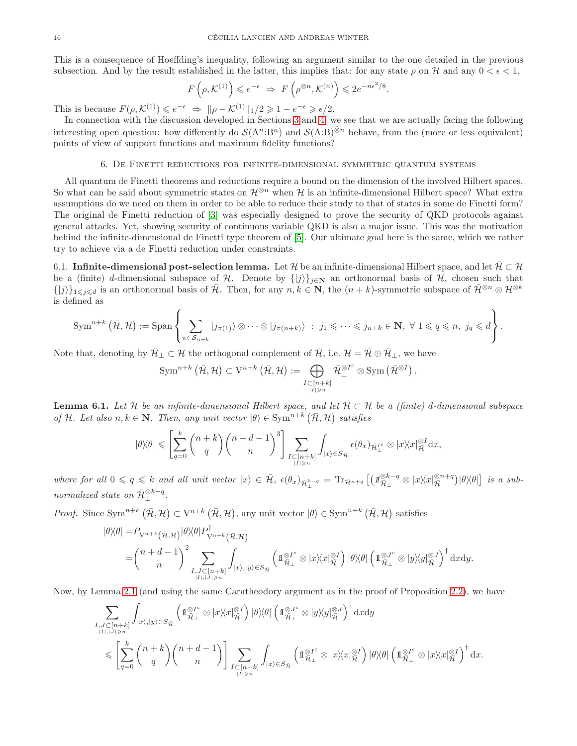This is a consequence of Hoeffding's inequality, following an argument similar to the one detailed in the previous subsection. And by the result established in the latter, this implies that: for any state  $\rho$  on H and any  $0 < \epsilon < 1$ ,

$$
F\left(\rho, \mathcal{K}^{(1)}\right) \leqslant e^{-\epsilon} \Rightarrow F\left(\rho^{\otimes n}, \mathcal{K}^{(n)}\right) \leqslant 2e^{-n\epsilon^2/8}
$$

.

This is because  $F(\rho, \mathcal{K}^{(1)}) \leq e^{-\epsilon} \Rightarrow ||\rho - \mathcal{K}^{(1)}||_1 / 2 \geq 1 - e^{-\epsilon} \geq \epsilon / 2$ .

In connection with the discussion developed in Sections [3](#page-4-0) and [4,](#page-8-0) we see that we are actually facing the following interesting open question: how differently do  $\mathcal{S}(A^n:B^n)$  and  $\mathcal{S}(A:B)^{\otimes n}$  behave, from the (more or less equivalent) points of view of support functions and maximum fidelity functions?

## 6. De Finetti reductions for infinite-dimensional symmetric quantum systems

<span id="page-15-0"></span>All quantum de Finetti theorems and reductions require a bound on the dimension of the involved Hilbert spaces. So what can be said about symmetric states on  $\mathcal{H}^{\otimes n}$  when H is an infinite-dimensional Hilbert space? What extra assumptions do we need on them in order to be able to reduce their study to that of states in some de Finetti form? The original de Finetti reduction of [\[3\]](#page-18-0) was especially designed to prove the security of QKD protocols against general attacks. Yet, showing security of continuous variable QKD is also a major issue. This was the motivation behind the infinite-dimensional de Finetti type theorem of [\[5\]](#page-18-20). Our ultimate goal here is the same, which we rather try to achieve via a de Finetti reduction under constraints.

6.1. Infinite-dimensional post-selection lemma. Let H be an infinite-dimensional Hilbert space, and let  $\mathcal{H} \subset \mathcal{H}$ be a (finite) d-dimensional subspace of H. Denote by  $\{|j\rangle\}_{j\in\mathbb{N}}$  an orthonormal basis of H, chosen such that  $\{|j\rangle\}_{1\leqslant j\leqslant d}$  is an orthonormal basis of  $\bar{\mathcal{H}}$ . Then, for any  $n, k \in \mathbb{N}$ , the  $(n+k)$ -symmetric subspace of  $\bar{\mathcal{H}}^{\otimes n} \otimes \mathcal{H}^{\otimes k}$ is defined as

$$
\operatorname{Sym}^{n+k}(\bar{\mathcal{H}},\mathcal{H}):=\operatorname{Span}\left\{\sum_{\pi\in\mathcal{S}_{n+k}}|j_{\pi(1)}\rangle\otimes\cdots\otimes|j_{\pi(n+k)}\rangle\;:\;j_1\leqslant\cdots\leqslant j_{n+k}\in\mathbf{N},\;\forall\;1\leqslant q\leqslant n,\;j_q\leqslant d\right\}.
$$

Note that, denoting by  $\bar{\mathcal{H}}_{\perp} \subset \mathcal{H}$  the orthogonal complement of  $\bar{\mathcal{H}}$ , i.e.  $\mathcal{H} = \bar{\mathcal{H}} \oplus \bar{\mathcal{H}}_{\perp}$ , we have

$$
\text{Sym}^{n+k}(\bar{\mathcal{H}},\mathcal{H})\subset V^{n+k}\left(\bar{\mathcal{H}},\mathcal{H}\right):=\bigoplus_{\substack{I\subset [n+k]\\ |I|\geqslant n}}\bar{\mathcal{H}}_{\perp}^{\otimes I^c}\otimes\text{Sym}\left(\bar{\mathcal{H}}^{\otimes I}\right).
$$

<span id="page-15-1"></span>**Lemma 6.1.** Let H be an infinite-dimensional Hilbert space, and let  $\overline{\mathcal{H}} \subset \mathcal{H}$  be a (finite) d-dimensional subspace *of* H. Let also  $n, k \in \mathbb{N}$ . Then, any unit vector  $|\theta\rangle \in \text{Sym}^{n+k}(\overline{\mathcal{H}}, \mathcal{H})$  satisfies

$$
|\theta \rangle \! \langle \theta | \leqslant \left[ \sum_{q=0}^k \binom{n+k}{q} \binom{n+d-1}{n}^3 \right] \sum_{\substack{I \subset [n+k] \\ |I| \geqslant n}} \int_{|x) \in S_{\mathcal{H}}} \epsilon(\theta_x)_{\vec{\mathcal{H}}^{I^c}_{\bot}} \otimes |x \rangle \! \langle x|^{\otimes I}_{\vec{\mathcal{H}}} \mathrm{d}x,
$$

 $where for all  $0 \leq q \leq k$  and all unit vector  $|x\rangle \in \overline{\mathcal{H}}$ ,  $\epsilon(\theta_x)_{\overline{\mathcal{H}}_{\perp}^{k-q}} = \text{Tr}_{\overline{\mathcal{H}}^{n+q}} \left[ \left( \mathcal{I}_{\overline{\mathcal{H}}_{\perp}}^{\otimes k-q} \otimes |x\rangle\langle x|\frac{\otimes n+q}{\overline{\mathcal{H}}} \right) |\theta\rangle\langle\theta| \right]$  is a sub$ *normalized state on*  $\bar{\mathcal{H}}_{\perp}^{\otimes k-q}$ .

*Proof.* Since  $\text{Sym}^{n+k}(\overline{\mathcal{H}}, \mathcal{H}) \subset \mathcal{V}^{n+k}(\overline{\mathcal{H}}, \mathcal{H})$ , any unit vector  $|\theta\rangle \in \text{Sym}^{n+k}(\overline{\mathcal{H}}, \mathcal{H})$  satisfies

$$
\begin{split} |\theta\rangle\langle\theta|=&P_{\mathbf{V}^{n+k}}(\bar{\mathbf{H}},\mathbf{H})|\theta\rangle\langle\theta|P_{\mathbf{V}^{n+k}}^{\dagger}(\bar{\mathbf{H}},\mathbf{H})\\ =&\binom{n+d-1}{n}^2\sum_{\substack{I,J\subset [n+k]\\|I|,|J|\geq n}}\int_{|x\rangle,|y\rangle\in S_{\bar{\mathcal{H}}}}\left(\mathbb{1}_{\bar{\mathcal{H}}_{\bot}}^{\otimes I^c}\otimes|x\rangle\langle x|_{\bar{\mathcal{H}}}^{\otimes I}\right)|\theta\rangle\langle\theta|\left(\mathbb{1}_{\bar{\mathcal{H}}_{\bot}}^{\otimes J^c}\otimes|y\rangle\langle y|_{\bar{\mathcal{H}}}^{\otimes J}\right)^{\dagger}\mathrm{d}x\mathrm{d}y.\end{split}
$$

Now, by Lemma [2.1](#page-1-2) (and using the same Caratheodory argument as in the proof of Proposition [2.2\)](#page-1-3), we have

$$
\begin{split} &\sum_{I,J\subset [n+k] \atop |I|,|J|\geqslant n}\int_{|x\rangle,|y\rangle\in S_{\tilde{\mathcal{H}}}}\left(\mathbbm{1}_{\tilde{\mathcal{H}}_{\bot}}^{\otimes I^c}\otimes |x\rangle\!\langle x|_{\tilde{\mathcal{H}}}^{\otimes I}\right)|\theta\rangle\!\langle\theta|\left(\mathbbm{1}_{\tilde{\mathcal{H}}_{\bot}}^{\otimes J^c}\otimes |y\rangle\!\langle y|_{\tilde{\mathcal{H}}}^{\otimes J}\right)^{\dagger}\mathrm{d}x\mathrm{d}y\\ &\leqslant \left[\sum_{q=0}^k\binom{n+k}{q}\binom{n+d-1}{n}\right]\sum_{\substack{I\subset [n+k] \atop |I|\geqslant n}}\int_{|x\rangle\in S_{\tilde{\mathcal{H}}}}\left(\mathbbm{1}_{\tilde{\mathcal{H}}_{\bot}}^{\otimes I^c}\otimes |x\rangle\!\langle x|_{\tilde{\mathcal{H}}}^{\otimes I}\right)|\theta\rangle\!\langle\theta|\left(\mathbbm{1}_{\tilde{\mathcal{H}}_{\bot}}^{\otimes I^c}\otimes |x\rangle\!\langle x|_{\tilde{\mathcal{H}}}^{\otimes I}\right)^{\dagger}\mathrm{d}x. \end{split}
$$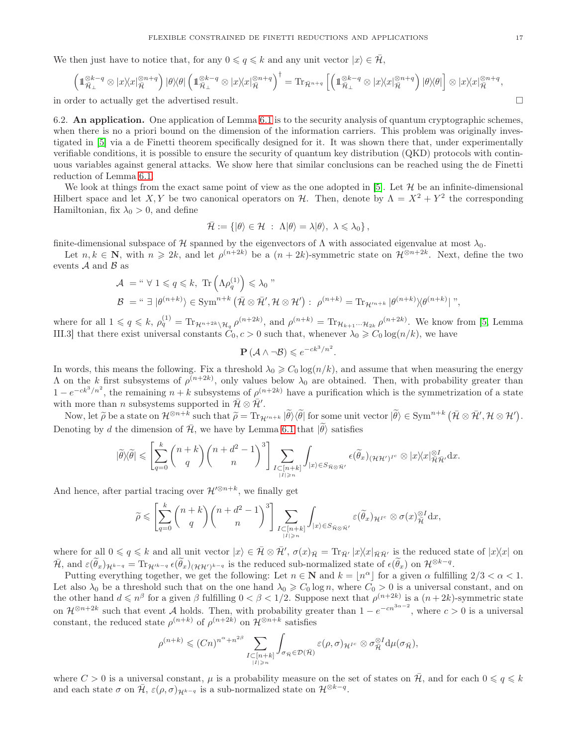We then just have to notice that, for any  $0 \leqslant q \leqslant k$  and any unit vector  $|x\rangle \in \mathcal{H}$ ,

$$
\left(\mathbb{1}_{\tilde{\mathcal{H}}_{\perp}}^{\otimes k-q} \otimes |x\rangle\langle x|_{\tilde{\mathcal{H}}}^{\otimes n+q}\right)|\theta\rangle\langle\theta|\left(\mathbb{1}_{\tilde{\mathcal{H}}_{\perp}}^{\otimes k-q} \otimes |x\rangle\langle x|_{\tilde{\mathcal{H}}}^{\otimes n+q}\right)^{\dagger} = \text{Tr}_{\tilde{\mathcal{H}}^{n+q}}\left[\left(\mathbb{1}_{\tilde{\mathcal{H}}_{\perp}}^{\otimes k-q} \otimes |x\rangle\langle x|_{\tilde{\mathcal{H}}}^{\otimes n+q}\right)|\theta\rangle\langle\theta|\right] \otimes |x\rangle\langle x|_{\tilde{\mathcal{H}}}^{\otimes n+q},
$$
  
order to actually get the advertised result

in order to actually get the advertised result.

6.2. An application. One application of Lemma [6.1](#page-15-1) is to the security analysis of quantum cryptographic schemes, when there is no a priori bound on the dimension of the information carriers. This problem was originally investigated in [\[5\]](#page-18-20) via a de Finetti theorem specifically designed for it. It was shown there that, under experimentally verifiable conditions, it is possible to ensure the security of quantum key distribution (QKD) protocols with continuous variables against general attacks. We show here that similar conclusions can be reached using the de Finetti reduction of Lemma [6.1.](#page-15-1)

We look at things from the exact same point of view as the one adopted in [\[5\]](#page-18-20). Let  $\mathcal H$  be an infinite-dimensional Hilbert space and let X, Y be two canonical operators on H. Then, denote by  $\Lambda = X^2 + Y^2$  the corresponding Hamiltonian, fix  $\lambda_0 > 0$ , and define

$$
\bar{\mathcal{H}}:=\{|\theta\rangle\in\mathcal{H}~:~\Lambda|\theta\rangle=\lambda|\theta\rangle,~\lambda\leqslant\lambda_0\}\,,
$$

finite-dimensional subspace of H spanned by the eigenvectors of  $\Lambda$  with associated eigenvalue at most  $\lambda_0$ .

Let  $n, k \in \mathbb{N}$ , with  $n \geq 2k$ , and let  $\rho^{(n+2k)}$  be a  $(n+2k)$ -symmetric state on  $\mathcal{H}^{\otimes n+2k}$ . Next, define the two events  $A$  and  $B$  as

$$
\mathcal{A} = \text{`` } \forall 1 \leq q \leq k, \text{ Tr}\left(\Lambda \rho_q^{(1)}\right) \leq \lambda_0 \text{''}
$$
\n
$$
\mathcal{B} = \text{`` } \exists \left| \theta^{(n+k)} \right\rangle \in \text{Sym}^{n+k} \left(\bar{\mathcal{H}} \otimes \bar{\mathcal{H}}', \mathcal{H} \otimes \mathcal{H}'\right) : \rho^{(n+k)} = \text{Tr}_{\mathcal{H}^{\prime n+k}} \left| \theta^{(n+k)} \right\rangle \langle \theta^{(n+k)} \right|,
$$

where for all  $1 \leqslant q \leqslant k$ ,  $\rho_q^{(1)} = \text{Tr}_{\mathcal{H}^{n+2k}\setminus\mathcal{H}_q} \rho^{(n+2k)}$ , and  $\rho^{(n+k)} = \text{Tr}_{\mathcal{H}_{k+1}\cdots\mathcal{H}_{2k}} \rho^{(n+2k)}$ . We know from [\[5,](#page-18-20) Lemma III.3] that there exist universal constants  $C_0$ ,  $c > 0$  such that, whenever  $\lambda_0 \geq C_0 \log(n/k)$ , we have

$$
\mathbf{P}\left(\mathcal{A}\wedge\neg\mathcal{B}\right)\leqslant e^{-ck^3/n^2}
$$

.

In words, this means the following. Fix a threshold  $\lambda_0 \geqslant C_0 \log(n/k)$ , and assume that when measuring the energy  $Λ$  on the k first subsystems of  $ρ<sup>(n+2k)</sup>$ , only values below  $λ<sub>0</sub>$  are obtained. Then, with probability greater than  $1 - e^{-ck^3/n^2}$ , the remaining  $n + k$  subsystems of  $\rho^{(n+2k)}$  have a purification which is the symmetrization of a state with more than n subsystems supported in  $\bar{\mathcal{H}} \otimes \bar{\mathcal{H}}'$ .

Now, let  $\widetilde{\rho}$  be a state on  $\mathcal{H}^{\otimes n+k}$  such that  $\widetilde{\rho} = \text{Tr}_{\mathcal{H}^{\prime n+k}} |\widetilde{\theta}\rangle \langle \widetilde{\theta}|$  for some unit vector  $|\widetilde{\theta}\rangle \in \text{Sym}^{n+k} (\bar{\mathcal{H}} \otimes \bar{\mathcal{H}}', \mathcal{H} \otimes \mathcal{H}').$ Denoting by d the dimension of  $\bar{\mathcal{H}}$ , we have by Lemma [6.1](#page-15-1) that  $|\tilde{\theta}\rangle$  satisfies

$$
|\widetilde{\theta}\rangle\langle\widetilde{\theta}|\leqslant \left[\sum_{q=0}^k\binom{n+k}{q}\binom{n+d^2-1}{n}^3\right]\sum_{\substack{I\subset [n+k]\\|I|\geqslant n}}\int_{|x\rangle\in S_{\widetilde{\mathcal{H}}\otimes\widetilde{\mathcal{H}}'}}\epsilon(\widetilde{\theta}_x)_{(\mathcal{H}\mathcal{H}')^{I^c}}\otimes |x\rangle\langle x|_{\widetilde{\mathcal{H}}\widetilde{\mathcal{H}}'}^{\otimes I}\mathrm{d} x.
$$

And hence, after partial tracing over  $\mathcal{H}^{\prime\otimes n+k}$ , we finally get

$$
\widetilde{\rho} \leqslant \left[ \sum_{q=0}^{k} \binom{n+k}{q} \binom{n+d^2-1}{n}^3 \right] \sum_{\substack{I \subset [n+k] \\ |I| \geqslant n}} \int_{|x\rangle \in S_{\vec{\mathcal{H}} \otimes \vec{\mathcal{H}}'}} \varepsilon(\widetilde{\theta}_x)_{\mathcal{H}^{I^c}} \otimes \sigma(x)_{\vec{\mathcal{H}}}^{\otimes I} \mathrm{d}x,
$$

where for all  $0 \le q \le k$  and all unit vector  $|x\rangle \in \bar{\mathcal{H}} \otimes \bar{\mathcal{H}}'$ ,  $\sigma(x)_{\bar{\mathcal{H}}} = \text{Tr}_{\bar{\mathcal{H}}'} |x\rangle\langle x|_{\bar{\mathcal{H}}\bar{\mathcal{H}}'}$  is the reduced state of  $|x\rangle\langle x|$  on  $\bar{\mathcal{H}}$ , and  $\varepsilon(\tilde{\theta}_x)_{\mathcal{H}^{k-q}} = \text{Tr}_{\mathcal{H}^{\prime k-q}} \varepsilon(\tilde{\theta}_x)_{(\mathcal{H} \mathcal{H}^{\prime})^{k-q}}$  is the reduced sub-normalized state of  $\varepsilon(\tilde{\theta}_x)$  on  $\mathcal{H}^{\otimes k-q}$ .

Putting everything together, we get the following: Let  $n \in \mathbb{N}$  and  $k = \lfloor n^{\alpha} \rfloor$  for a given  $\alpha$  fulfilling  $2/3 < \alpha < 1$ . Let also  $\lambda_0$  be a threshold such that on the one hand  $\lambda_0 \geqslant C_0 \log n$ , where  $C_0 > 0$  is a universal constant, and on the other hand  $d \leqslant n^{\beta}$  for a given  $\beta$  fulfilling  $0 < \beta < 1/2$ . Suppose next that  $\rho^{(n+2k)}$  is a  $(n+2k)$ -symmetric state on  $\mathcal{H}^{\otimes n+2k}$  such that event A holds. Then, with probability greater than  $1-e^{-cn^{3\alpha-2}}$ , where  $c>0$  is a universal constant, the reduced state  $\rho^{(n+k)}$  of  $\rho^{(n+2k)}$  on  $\mathcal{H}^{\otimes n+k}$  satisfies

$$
\rho^{(n+k)} \leqslant (Cn)^{n^{\alpha}+n^{2\beta}} \sum_{\substack{I \subset [n+k] \\ |I| \geqslant n}} \int_{\sigma_{\tilde{\mathcal{H}}} \in \mathcal{D}(\tilde{\mathcal{H}})} \varepsilon(\rho, \sigma)_{\mathcal{H}^{I^c}} \otimes \sigma_{\tilde{\mathcal{H}}}^{\otimes I} d\mu(\sigma_{\tilde{\mathcal{H}}}),
$$

where  $C > 0$  is a universal constant,  $\mu$  is a probability measure on the set of states on  $\overline{\mathcal{H}}$ , and for each  $0 \leqslant q \leqslant k$ and each state  $\sigma$  on  $\bar{\mathcal{H}}, \varepsilon(\rho, \sigma)_{\mathcal{H}^{k-q}}$  is a sub-normalized state on  $\mathcal{H}^{\otimes k-q}$ .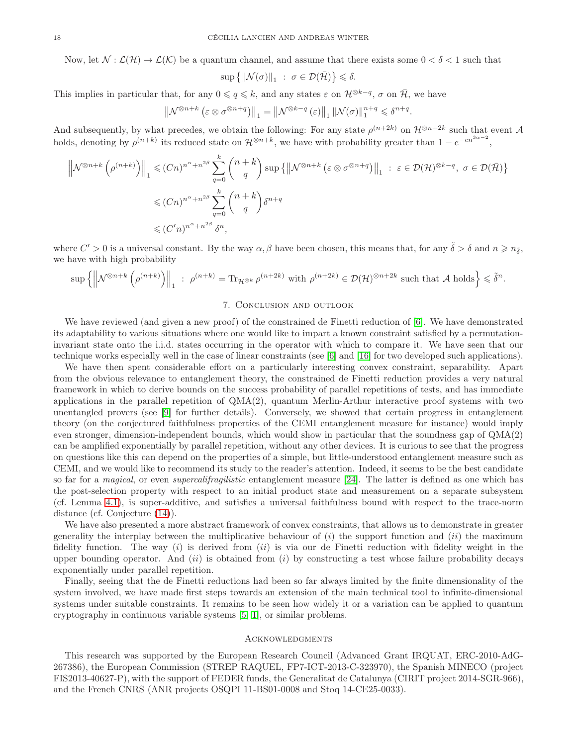Now, let  $\mathcal{N} : \mathcal{L}(\mathcal{H}) \to \mathcal{L}(\mathcal{K})$  be a quantum channel, and assume that there exists some  $0 < \delta < 1$  such that

$$
\sup\left\{\|\mathcal{N}(\sigma)\|_{1}~:~\sigma\in\mathcal{D}(\bar{\mathcal{H}})\right\}\leqslant\delta.
$$

This implies in particular that, for any  $0 \leqslant q \leqslant k$ , and any states  $\varepsilon$  on  $\mathcal{H}^{\otimes k-q}$ ,  $\sigma$  on  $\overline{\mathcal{H}}$ , we have

$$
\left\|\mathcal{N}^{\otimes n+k}\left(\varepsilon\otimes\sigma^{\otimes n+q}\right)\right\|_{1}=\left\|\mathcal{N}^{\otimes k-q}\left(\varepsilon\right)\right\|_{1}\left\|\mathcal{N}(\sigma)\right\|_{1}^{n+q}\leqslant\delta^{n+q}.
$$

And subsequently, by what precedes, we obtain the following: For any state  $\rho^{(n+2k)}$  on  $\mathcal{H}^{\otimes n+2k}$  such that event  $\mathcal{A}$ holds, denoting by  $\rho^{(n+k)}$  its reduced state on  $\mathcal{H}^{\otimes n+k}$ , we have with probability greater than  $1-e^{-cn^{3\alpha-2}}$ ,

$$
\left\| \mathcal{N}^{\otimes n+k} \left( \rho^{(n+k)} \right) \right\|_{1} \leq (Cn)^{n^{\alpha}+n^{2\beta}} \sum_{q=0}^{k} {n+k \choose q} \sup \left\{ \left\| \mathcal{N}^{\otimes n+k} \left( \varepsilon \otimes \sigma^{\otimes n+q} \right) \right\|_{1} : \varepsilon \in \mathcal{D}(\mathcal{H})^{\otimes k-q}, \sigma \in \mathcal{D}(\bar{\mathcal{H}}) \right\}
$$
  

$$
\leq (Cn)^{n^{\alpha}+n^{2\beta}} \sum_{q=0}^{k} {n+k \choose q} \delta^{n+q}
$$
  

$$
\leq (C'n)^{n^{\alpha}+n^{2\beta}} \delta^{n},
$$

where  $C' > 0$  is a universal constant. By the way  $\alpha, \beta$  have been chosen, this means that, for any  $\tilde{\delta} > \delta$  and  $n \geq n_{\tilde{\delta}}$ , we have with high probability

$$
\sup\left\{\left\|\mathcal{N}^{\otimes n+k}\left(\rho^{(n+k)}\right)\right\|_{1} \ : \ \rho^{(n+k)}=\text{Tr}_{\mathcal{H}^{\otimes k}}\,\rho^{(n+2k)} \text{ with } \rho^{(n+2k)}\in\mathcal{D}(\mathcal{H})^{\otimes n+2k} \text{ such that } \mathcal{A} \text{ holds}\right\}\leq \tilde{\delta}^n.
$$

## 7. Conclusion and outlook

We have reviewed (and given a new proof) of the constrained de Finetti reduction of [\[6\]](#page-18-1). We have demonstrated its adaptability to various situations where one would like to impart a known constraint satisfied by a permutationinvariant state onto the i.i.d. states occurring in the operator with which to compare it. We have seen that our technique works especially well in the case of linear constraints (see [\[6\]](#page-18-1) and [\[16\]](#page-18-2) for two developed such applications).

We have then spent considerable effort on a particularly interesting convex constraint, separability. Apart from the obvious relevance to entanglement theory, the constrained de Finetti reduction provides a very natural framework in which to derive bounds on the success probability of parallel repetitions of tests, and has immediate applications in the parallel repetition of  $QMA(2)$ , quantum Merlin-Arthur interactive proof systems with two unentangled provers (see [\[9\]](#page-18-7) for further details). Conversely, we showed that certain progress in entanglement theory (on the conjectured faithfulness properties of the CEMI entanglement measure for instance) would imply even stronger, dimension-independent bounds, which would show in particular that the soundness gap of QMA(2) can be amplified exponentially by parallel repetition, without any other devices. It is curious to see that the progress on questions like this can depend on the properties of a simple, but little-understood entanglement measure such as CEMI, and we would like to recommend its study to the reader's attention. Indeed, it seems to be the best candidate so far for a *magical*, or even *supercalifragilistic* entanglement measure [\[24\]](#page-18-21). The latter is defined as one which has the post-selection property with respect to an initial product state and measurement on a separate subsystem (cf. Lemma [4.1\)](#page-8-1), is super-additive, and satisfies a universal faithfulness bound with respect to the trace-norm distance (cf. Conjecture [\(14\)](#page-11-0)).

We have also presented a more abstract framework of convex constraints, that allows us to demonstrate in greater generality the interplay between the multiplicative behaviour of  $(i)$  the support function and  $(ii)$  the maximum fidelity function. The way  $(i)$  is derived from  $(ii)$  is via our de Finetti reduction with fidelity weight in the upper bounding operator. And  $(ii)$  is obtained from  $(i)$  by constructing a test whose failure probability decays exponentially under parallel repetition.

Finally, seeing that the de Finetti reductions had been so far always limited by the finite dimensionality of the system involved, we have made first steps towards an extension of the main technical tool to infinite-dimensional systems under suitable constraints. It remains to be seen how widely it or a variation can be applied to quantum cryptography in continuous variable systems [\[5,](#page-18-20) [1\]](#page-18-22), or similar problems.

#### **ACKNOWLEDGMENTS**

This research was supported by the European Research Council (Advanced Grant IRQUAT, ERC-2010-AdG-267386), the European Commission (STREP RAQUEL, FP7-ICT-2013-C-323970), the Spanish MINECO (project FIS2013-40627-P), with the support of FEDER funds, the Generalitat de Catalunya (CIRIT project 2014-SGR-966), and the French CNRS (ANR projects OSQPI 11-BS01-0008 and Stoq 14-CE25-0033).